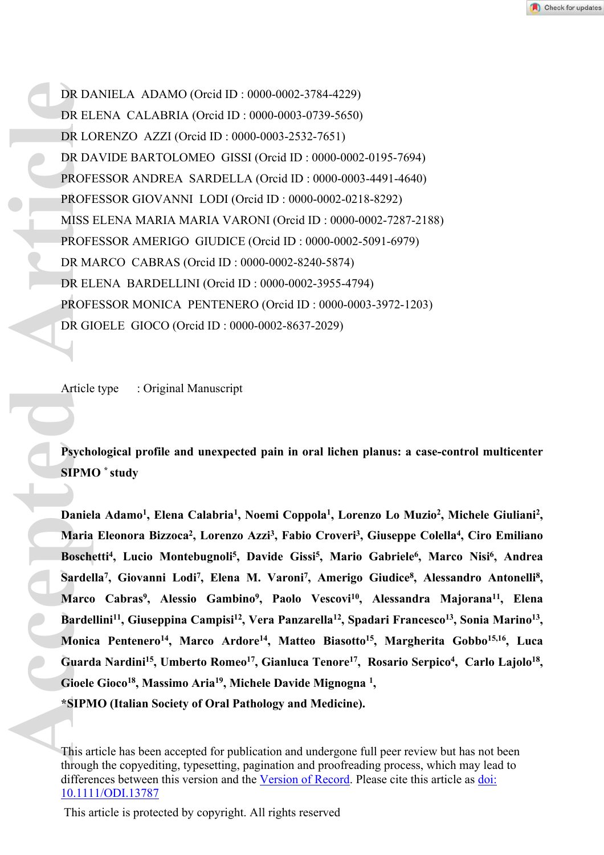DR DANIELA ADAMO (Orcid ID : 0000-0002-3784-4229) DR ELENA CALABRIA (Orcid ID : 0000-0003-0739-5650) DR LORENZO AZZI (Orcid ID : 0000-0003-2532-7651) DR DAVIDE BARTOLOMEO GISSI (Orcid ID : 0000-0002-0195-7694) PROFESSOR ANDREA SARDELLA (Orcid ID : 0000-0003-4491-4640) PROFESSOR GIOVANNI LODI (Orcid ID : 0000-0002-0218-8292) MISS ELENA MARIA MARIA VARONI (Orcid ID : 0000-0002-7287-2188) PROFESSOR AMERIGO GIUDICE (Orcid ID : 0000-0002-5091-6979) DR MARCO CABRAS (Orcid ID : 0000-0002-8240-5874) DR ELENA BARDELLINI (Orcid ID : 0000-0002-3955-4794) PROFESSOR MONICA PENTENERO (Orcid ID : 0000-0003-3972-1203) DR GIOELE GIOCO (Orcid ID : 0000-0002-8637-2029) DR DA DR EI<br>
DR DA DR EI<br>
DR DA PROFI<br>
PROFI<br>
PROFI<br>
DR MISS<br>
PROFI<br>
DR MISS<br>
PROFI<br>
DR MISS<br>
PROFI<br>
DR GI<br>
DR GI<br>
Article<br>
Article<br>
Maria<br>
Basch<br>
SIPMI<br>
Daniel<br>
Maria<br>
Basch<br>
SiPMIC<br>
DR GI<br>
Article<br>
Maria<br>
Basch<br>
SiPMIC<br>

Article type : Original Manuscript

**Psychological profile and unexpected pain in oral lichen planus: a case-control multicenter SIPMO \* study** 

Daniela Adamo<sup>1</sup>, Elena Calabria<sup>1</sup>, Noemi Coppola<sup>1</sup>, Lorenzo Lo Muzio<sup>2</sup>, Michele Giuliani<sup>2</sup>, **Maria Eleonora Bizzoca<sup>2</sup> , Lorenzo Azzi<sup>3</sup> , Fabio Croveri<sup>3</sup> , Giuseppe Colella<sup>4</sup> , Ciro Emiliano Boschetti<sup>4</sup> , Lucio Montebugnoli<sup>5</sup> , Davide Gissi<sup>5</sup> , Mario Gabriele<sup>6</sup> , Marco Nisi<sup>6</sup> , Andrea**  Sardella<sup>7</sup>, Giovanni Lodi<sup>7</sup>, Elena M. Varoni<sup>7</sup>, Amerigo Giudice<sup>8</sup>, Alessandro Antonelli<sup>8</sup>, **Marco Cabras<sup>9</sup> , Alessio Gambino<sup>9</sup> , Paolo Vescovi<sup>10</sup>, Alessandra Majorana<sup>11</sup>, Elena Bardellini<sup>11</sup>, Giuseppina Campisi<sup>12</sup>, Vera Panzarella<sup>12</sup>, Spadari Francesco<sup>13</sup>, Sonia Marino<sup>13</sup> , Monica Pentenero<sup>14</sup>, Marco Ardore<sup>14</sup>, Matteo Biasotto<sup>15</sup>, Margherita Gobbo15,16, Luca Guarda Nardini<sup>15</sup>, Umberto Romeo<sup>17</sup>, Gianluca Tenore<sup>17</sup>, Rosario Serpico<sup>4</sup> , Carlo Lajolo<sup>18</sup> , Gioele Gioco<sup>18</sup>, Massimo Aria<sup>19</sup>, Michele Davide Mignogna <sup>1</sup> , \*SIPMO (Italian Society of Oral Pathology and Medicine).**

This article has been accepted for publication and undergone full peer review but has not been through the copyediting, typesetting, pagination and proofreading process, which may lead to differences between this version and the [Version of Record.](https://doi.org/10.1111/ODI.13787) Please cite this article as [doi:](https://doi.org/10.1111/ODI.13787)  [10.1111/ODI.13787](https://doi.org/10.1111/ODI.13787)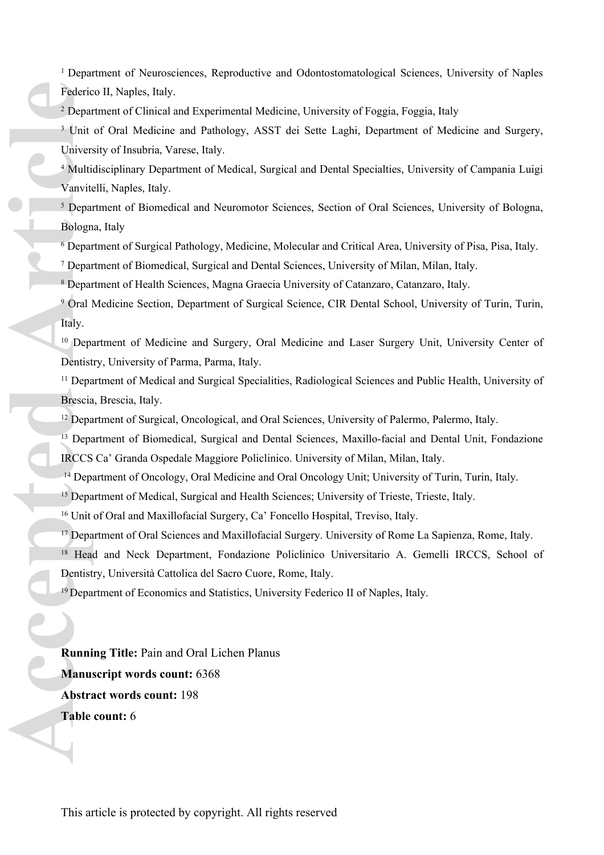<sup>1</sup> Department of Neurosciences, Reproductive and Odontostomatological Sciences, University of Naples Federico II, Naples, Italy.

<sup>2</sup> Department of Clinical and Experimental Medicine, University of Foggia, Foggia, Italy

<sup>3</sup> Unit of Oral Medicine and Pathology, ASST dei Sette Laghi, Department of Medicine and Surgery, University of Insubria, Varese, Italy.

<sup>4</sup> Multidisciplinary Department of Medical, Surgical and Dental Specialties, University of Campania Luigi Vanvitelli, Naples, Italy.

<sup>5</sup> Department of Biomedical and Neuromotor Sciences, Section of Oral Sciences, University of Bologna, Bologna, Italy

6 Department of Surgical Pathology, Medicine, Molecular and Critical Area, University of Pisa, Pisa, Italy.

7 Department of Biomedical, Surgical and Dental Sciences, University of Milan, Milan, Italy.

8 Department of Health Sciences, Magna Graecia University of Catanzaro, Catanzaro, Italy.

9 Oral Medicine Section, Department of Surgical Science, CIR Dental School, University of Turin, Turin, Italy.

<sup>10</sup> Department of Medicine and Surgery, Oral Medicine and Laser Surgery Unit, University Center of Dentistry, University of Parma, Parma, Italy.

<sup>11</sup> Department of Medical and Surgical Specialities, Radiological Sciences and Public Health, University of Brescia, Brescia, Italy.

<sup>12</sup> Department of Surgical, Oncological, and Oral Sciences, University of Palermo, Palermo, Italy.

<sup>13</sup> Department of Biomedical, Surgical and Dental Sciences, Maxillo-facial and Dental Unit, Fondazione IRCCS Ca' Granda Ospedale Maggiore Policlinico. University of Milan, Milan, Italy.

<sup>14</sup> Department of Oncology, Oral Medicine and Oral Oncology Unit; University of Turin, Turin, Italy.

<sup>15</sup> Department of Medical, Surgical and Health Sciences; University of Trieste, Trieste, Italy.

<sup>16</sup> Unit of Oral and Maxillofacial Surgery, Ca' Foncello Hospital, Treviso, Italy.

<sup>17</sup> Department of Oral Sciences and Maxillofacial Surgery. University of Rome La Sapienza, Rome, Italy.

<sup>18</sup> Head and Neck Department, Fondazione Policlinico Universitario A. Gemelli IRCCS, School of Dentistry, Università Cattolica del Sacro Cuore, Rome, Italy.

<sup>19</sup> Department of Economics and Statistics, University Federico II of Naples, Italy.

**Running Title:** Pain and Oral Lichen Planus **Manuscript words count:** 6368 **Abstract words count:** 198 **Table count:** 6 Federic<sup>2</sup> Departies of the Unit of the Departies of the Departies of the Departies of the Departies of the Departies of the Departies of the Unit of the Unit of the Unit of the Unit of the Unit of the Unit of the Unit of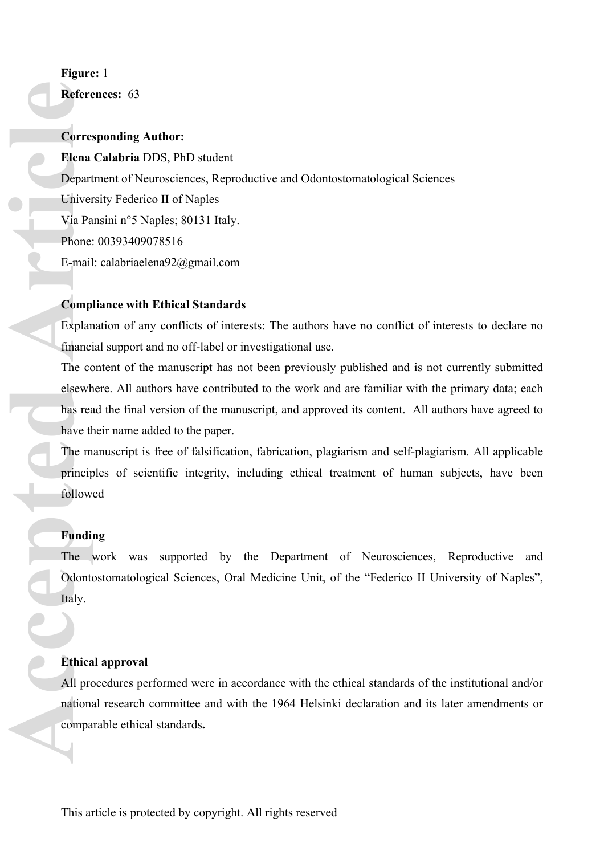# **Figure:** 1

**References:** 63

# **Corresponding Author:**

**Elena Calabria** DDS, PhD student Department of Neurosciences, Reproductive and Odontostomatological Sciences University Federico II of Naples Via Pansini n°5 Naples; 80131 Italy. Phone: 00393409078516 E-mail: [calabriaelena92@gmail.com](mailto:calabriaelena92@gmail.com) **Accelering Corresponding Controlling Controlling Controlling Controlling Controlling Controlling Controlling Controlling Controlling Controlling Controlling Controlling Controlling Controlling Controlling Controlling Cont** 

## **Compliance with Ethical Standards**

Explanation of any conflicts of interests: The authors have no conflict of interests to declare no financial support and no off-label or investigational use.

The content of the manuscript has not been previously published and is not currently submitted elsewhere. All authors have contributed to the work and are familiar with the primary data; each has read the final version of the manuscript, and approved its content. All authors have agreed to have their name added to the paper.

The manuscript is free of falsification, fabrication, plagiarism and self-plagiarism. All applicable principles of scientific integrity, including ethical treatment of human subjects, have been followed

# **Funding**

The work was supported by the Department of Neurosciences, Reproductive and Odontostomatological Sciences, Oral Medicine Unit, of the "Federico II University of Naples", Italy.

# **Ethical approval**

All procedures performed were in accordance with the ethical standards of the institutional and/or national research committee and with the 1964 Helsinki declaration and its later amendments or comparable ethical standards**.**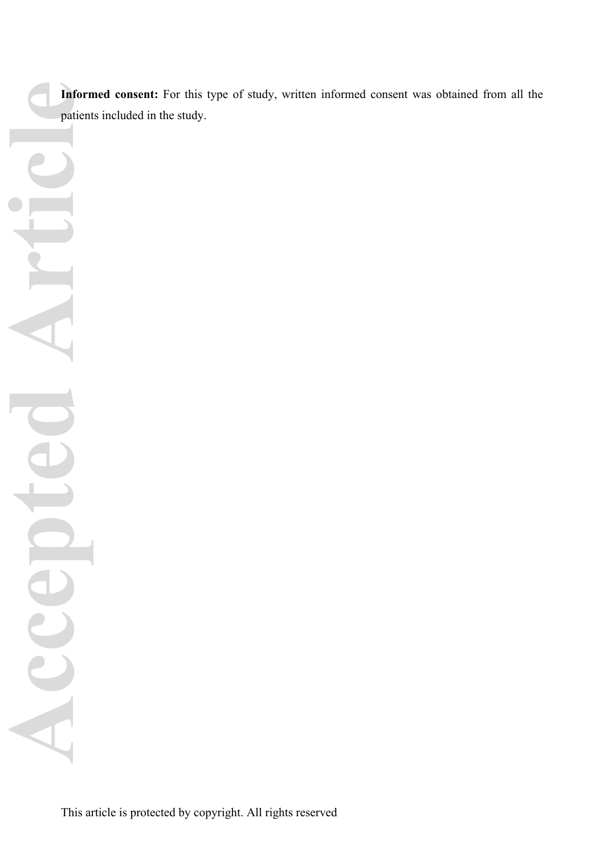**Informed consent:** For this type of study, written informed consent was obtained from all the patients included in the study.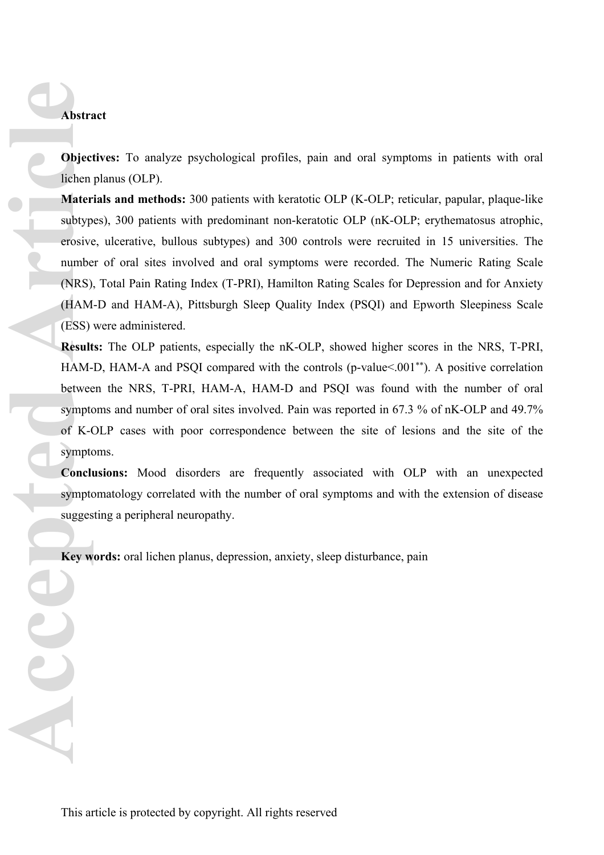**Objectives:** To analyze psychological profiles, pain and oral symptoms in patients with oral lichen planus (OLP).

**Materials and methods:** 300 patients with keratotic OLP (K-OLP; reticular, papular, plaque-like subtypes), 300 patients with predominant non-keratotic OLP (nK-OLP; erythematosus atrophic, erosive, ulcerative, bullous subtypes) and 300 controls were recruited in 15 universities. The number of oral sites involved and oral symptoms were recorded. The Numeric Rating Scale (NRS), Total Pain Rating Index (T-PRI), Hamilton Rating Scales for Depression and for Anxiety (HAM-D and HAM-A), Pittsburgh Sleep Quality Index (PSQI) and Epworth Sleepiness Scale (ESS) were administered. **Abstra**<br> **Abstra**<br> **Cobject**<br>
Lichen<br>
Mater<br>
subtyp<br>
erosive<br>
numbe<br>
(NRS)<br>
(HAM<br>
(ESS)<br>
Result<br>
HAM-betwee<br>
sympto<br>
of K-(<br>
sympto<br>
Conclus symptomed Symptomed Symptomed Symptomed Symptomed Symptomed Symptomed Symptomed

**Results:** The OLP patients, especially the nK-OLP, showed higher scores in the NRS, T-PRI, HAM-D, HAM-A and PSQI compared with the controls (p-value < 001<sup>\*\*</sup>). A positive correlation between the NRS, T-PRI, HAM-A, HAM-D and PSQI was found with the number of oral symptoms and number of oral sites involved. Pain was reported in 67.3 % of nK-OLP and 49.7% of K-OLP cases with poor correspondence between the site of lesions and the site of the symptoms.

**Conclusions:** Mood disorders are frequently associated with OLP with an unexpected symptomatology correlated with the number of oral symptoms and with the extension of disease suggesting a peripheral neuropathy.

**Key words:** oral lichen planus, depression, anxiety, sleep disturbance, pain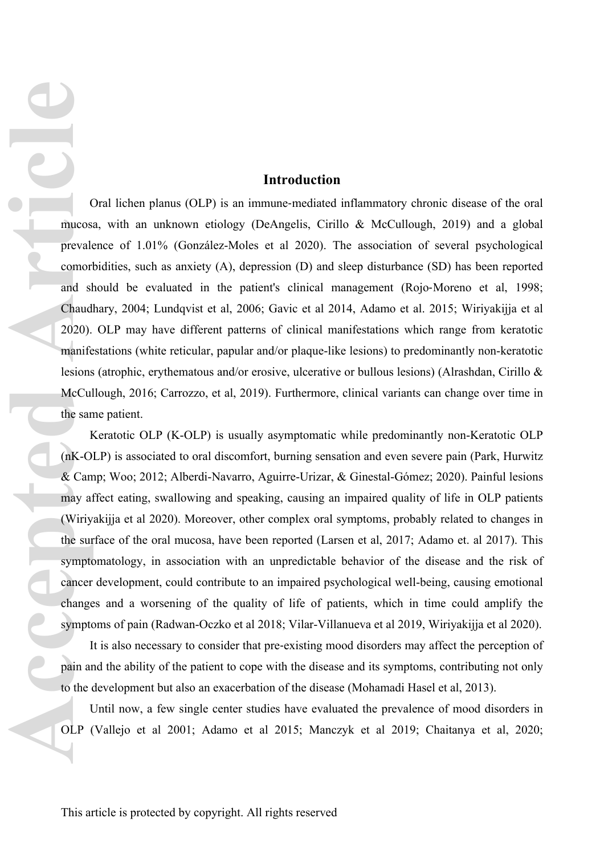## **Introduction**

Oral lichen planus (OLP) is an immune‐mediated inflammatory chronic disease of the oral mucosa, with an unknown etiology (DeAngelis, Cirillo & McCullough, 2019) and a global prevalence of 1.01% (González-Moles et al 2020). The association of several psychological comorbidities, such as anxiety (A), depression (D) and sleep disturbance (SD) has been reported and should be evaluated in the patient's clinical management (Rojo‐Moreno et al, 1998; Chaudhary, 2004; Lundqvist et al, 2006; Gavic et al 2014, Adamo et al. 2015; Wiriyakijja et al 2020). OLP may have different patterns of clinical manifestations which range from keratotic manifestations (white reticular, papular and/or plaque-like lesions) to predominantly non-keratotic lesions (atrophic, erythematous and/or erosive, ulcerative or bullous lesions) (Alrashdan, Cirillo & McCullough, 2016; Carrozzo, et al, 2019). Furthermore, clinical variants can change over time in the same patient. **Accepted Articles**<br> **Accepted Articles**<br> **Accepted Articles**<br> **Accepted Articles**<br> **Accepted Articles**<br> **Accepted Articles**<br> **Accepted Articles**<br> **Accepted Articles**<br> **Accepted Articles**<br> **Accepted Articles**<br> **Accepted Ar** 

Keratotic OLP (K-OLP) is usually asymptomatic while predominantly non-Keratotic OLP (nK-OLP) is associated to oral discomfort, burning sensation and even severe pain (Park, Hurwitz & Camp; Woo; 2012; Alberdi-Navarro, Aguirre-Urizar, & Ginestal-Gómez; 2020). Painful lesions may affect eating, swallowing and speaking, causing an impaired quality of life in OLP patients (Wiriyakijja et al 2020). Moreover, other complex oral symptoms, probably related to changes in the surface of the oral mucosa, have been reported (Larsen et al, 2017; Adamo et. al 2017). This symptomatology, in association with an unpredictable behavior of the disease and the risk of cancer development, could contribute to an impaired psychological well-being, causing emotional changes and a worsening of the quality of life of patients, which in time could amplify the symptoms of pain (Radwan-Oczko et al 2018; Vilar-Villanueva et al 2019, Wiriyakijja et al 2020).

It is also necessary to consider that pre‐existing mood disorders may affect the perception of pain and the ability of the patient to cope with the disease and its symptoms, contributing not only to the development but also an exacerbation of the disease (Mohamadi Hasel et al, 2013).

Until now, a few single center studies have evaluated the prevalence of mood disorders in OLP (Vallejo et al 2001; Adamo et al 2015; Manczyk et al 2019; Chaitanya et al, 2020;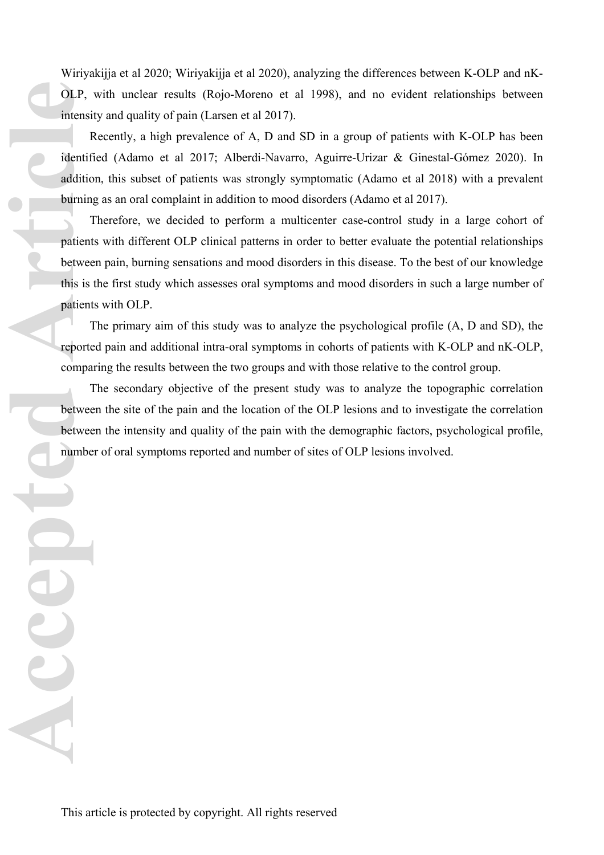Wiriyakijja et al 2020; Wiriyakijja et al 2020), analyzing the differences between K-OLP and nK-OLP, with unclear results (Rojo-Moreno et al 1998), and no evident relationships between intensity and quality of pain (Larsen et al 2017).

Recently, a high prevalence of A, D and SD in a group of patients with K-OLP has been identified (Adamo et al 2017; Alberdi-Navarro, Aguirre-Urizar & Ginestal-Gómez 2020). In addition, this subset of patients was strongly symptomatic (Adamo et al 2018) with a prevalent burning as an oral complaint in addition to mood disorders (Adamo et al 2017).

Therefore, we decided to perform a multicenter case-control study in a large cohort of patients with different OLP clinical patterns in order to better evaluate the potential relationships between pain, burning sensations and mood disorders in this disease. To the best of our knowledge this is the first study which assesses oral symptoms and mood disorders in such a large number of patients with OLP. **COLP,**<br>
intensi<br>
Identif<br>
addition<br>
burnin,<br>
patient<br>
betwee<br>
this is<br>
patient<br>
addition<br>
betwee<br>
betwee<br>
betwee<br>
betwee<br>
betwee<br>
betwee<br>
betwee<br>
patient<br>
addition<br>  $\frac{1}{2}$ <br>
betwee<br>
betwee<br>
betwee<br>
betwee<br>
patient<br>
addi

The primary aim of this study was to analyze the psychological profile (A, D and SD), the reported pain and additional intra-oral symptoms in cohorts of patients with K-OLP and nK-OLP, comparing the results between the two groups and with those relative to the control group.

The secondary objective of the present study was to analyze the topographic correlation between the site of the pain and the location of the OLP lesions and to investigate the correlation between the intensity and quality of the pain with the demographic factors, psychological profile, number of oral symptoms reported and number of sites of OLP lesions involved.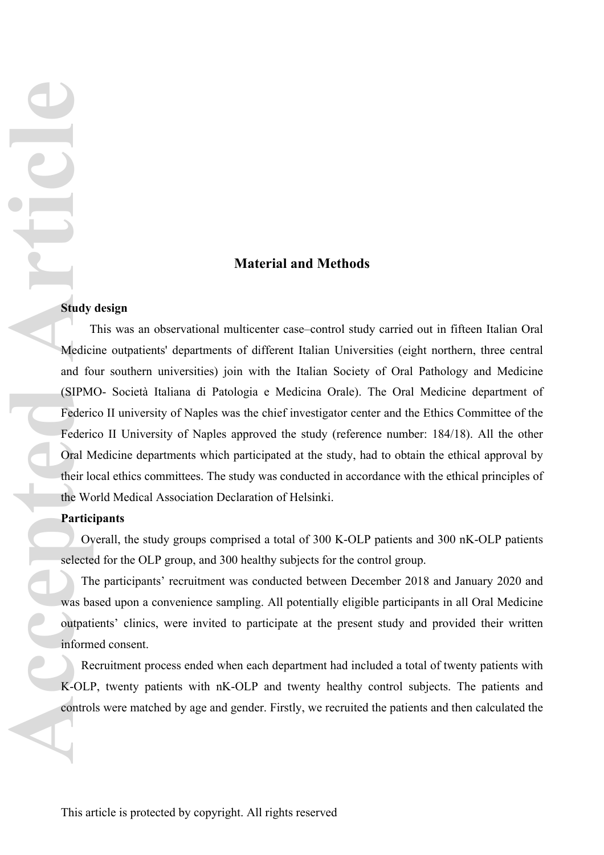## **Material and Methods**

## **Study design**

This was an observational multicenter case–control study carried out in fifteen Italian Oral Medicine outpatients' departments of different Italian Universities (eight northern, three central and four southern universities) join with the Italian Society of Oral Pathology and Medicine (SIPMO- Società Italiana di Patologia e Medicina Orale). The Oral Medicine department of Federico II university of Naples was the chief investigator center and the Ethics Committee of the Federico II University of Naples approved the study (reference number: 184/18). All the other Oral Medicine departments which participated at the study, had to obtain the ethical approval by their local ethics committees. The study was conducted in accordance with the ethical principles of the World Medical Association Declaration of Helsinki. **Accepted Article Construction**<br> **Accepted Article Construction**<br> **Accepted Article Construction**<br> **Accepted Article Construction**<br> **Accepted Article Construction**<br> **Accepted Article Construction**<br> **Accepted Article Constr** 

## **Participants**

Overall, the study groups comprised a total of 300 K-OLP patients and 300 nK-OLP patients selected for the OLP group, and 300 healthy subjects for the control group.

The participants' recruitment was conducted between December 2018 and January 2020 and was based upon a convenience sampling. All potentially eligible participants in all Oral Medicine outpatients' clinics, were invited to participate at the present study and provided their written informed consent.

Recruitment process ended when each department had included a total of twenty patients with K-OLP, twenty patients with nK-OLP and twenty healthy control subjects. The patients and controls were matched by age and gender. Firstly, we recruited the patients and then calculated the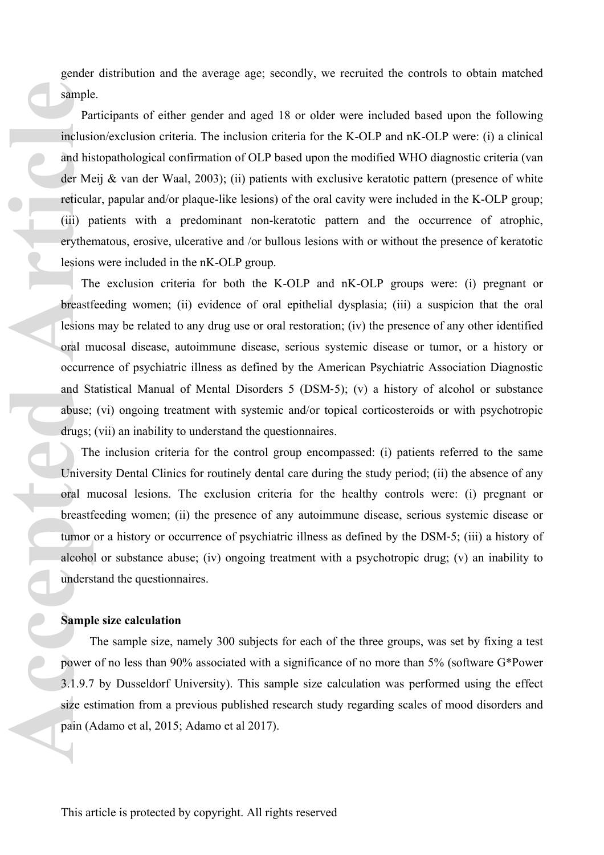gender distribution and the average age; secondly, we recruited the controls to obtain matched sample.

Participants of either gender and aged 18 or older were included based upon the following inclusion/exclusion criteria. The inclusion criteria for the K-OLP and nK-OLP were: (i) a clinical and histopathological confirmation of OLP based upon the modified WHO diagnostic criteria (van der Meij & van der Waal, 2003); (ii) patients with exclusive keratotic pattern (presence of white reticular, papular and/or plaque-like lesions) of the oral cavity were included in the K-OLP group; (iii) patients with a predominant non-keratotic pattern and the occurrence of atrophic, erythematous, erosive, ulcerative and /or bullous lesions with or without the presence of keratotic lesions were included in the nK-OLP group. **Example**<br>
Pa<br>
inclusi<br>
and his<br>
der Me<br>
reticul.<br>
(iii) p<br>
eryther<br>
lesions<br>
Th<br>
breastf<br>
lesions<br>
oral m<br>
occurre<br>
and St<br>
abuse;<br>
drugs;<br>
Th<br>
Univer<br>
oral m<br>
breastf<br>
Lesions<br>
ceurre<br>
and St<br>
abuse;<br>
Th<br>
Univer<br>
oral m<br>

The exclusion criteria for both the K-OLP and nK-OLP groups were: (i) pregnant or breastfeeding women; (ii) evidence of oral epithelial dysplasia; (iii) a suspicion that the oral lesions may be related to any drug use or oral restoration; (iv) the presence of any other identified oral mucosal disease, autoimmune disease, serious systemic disease or tumor, or a history or occurrence of psychiatric illness as defined by the American Psychiatric Association Diagnostic and Statistical Manual of Mental Disorders 5 (DSM‐5); (v) a history of alcohol or substance abuse; (vi) ongoing treatment with systemic and/or topical corticosteroids or with psychotropic drugs; (vii) an inability to understand the questionnaires.

The inclusion criteria for the control group encompassed: (i) patients referred to the same University Dental Clinics for routinely dental care during the study period; (ii) the absence of any oral mucosal lesions. The exclusion criteria for the healthy controls were: (i) pregnant or breastfeeding women; (ii) the presence of any autoimmune disease, serious systemic disease or tumor or a history or occurrence of psychiatric illness as defined by the DSM‐5; (iii) a history of alcohol or substance abuse; (iv) ongoing treatment with a psychotropic drug; (v) an inability to understand the questionnaires.

#### **Sample size calculation**

The sample size, namely 300 subjects for each of the three groups, was set by fixing a test power of no less than 90% associated with a significance of no more than 5% (software G\*Power 3.1.9.7 by Dusseldorf University). This sample size calculation was performed using the effect size estimation from a previous published research study regarding scales of mood disorders and pain (Adamo et al, 2015; Adamo et al 2017).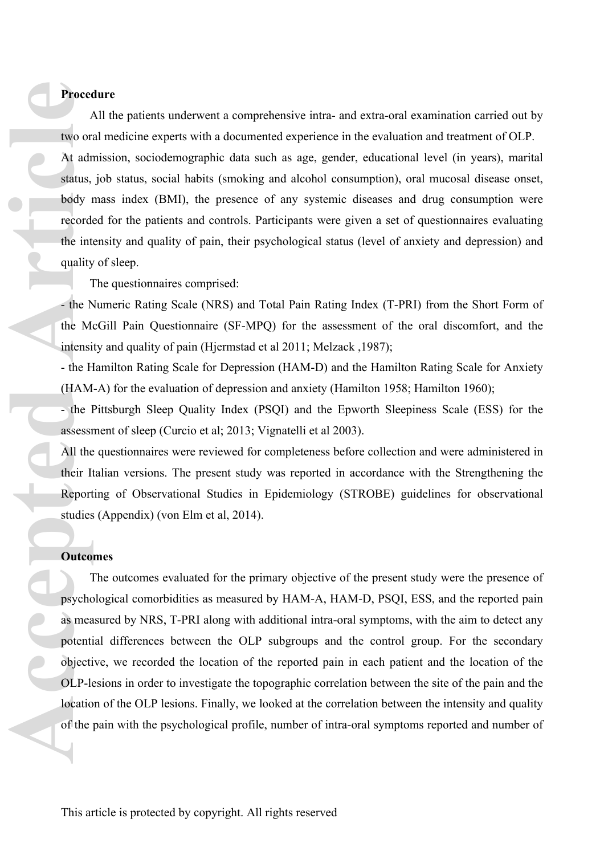## **Procedure**

All the patients underwent a comprehensive intra- and extra-oral examination carried out by two oral medicine experts with a documented experience in the evaluation and treatment of OLP. At admission, sociodemographic data such as age, gender, educational level (in years), marital status, job status, social habits (smoking and alcohol consumption), oral mucosal disease onset, body mass index (BMI), the presence of any systemic diseases and drug consumption were recorded for the patients and controls. Participants were given a set of questionnaires evaluating the intensity and quality of pain, their psychological status (level of anxiety and depression) and quality of sleep. **Proced**<br>
two or:<br>
At adr<br>
status,<br>
body 1<br>
record<br>
the int<br>
quality<br>
1<br>
- the N<br>
intensi<br>
- the H<br>
intensi<br>
- the H<br>
(HAM<br>
- the H<br>
intensi<br>
- the H<br>
And<br>
- the H<br>
assessi<br>
All the<br>
their I<sub>i</sub><br>
Report<br>
studies<br>
Outco<br>
D<br>

The questionnaires comprised:

- the Numeric Rating Scale (NRS) and Total Pain Rating Index (T-PRI) from the Short Form of the McGill Pain Questionnaire (SF-MPQ) for the assessment of the oral discomfort, and the intensity and quality of pain (Hjermstad et al 2011; Melzack ,1987);

- the Hamilton Rating Scale for Depression (HAM-D) and the Hamilton Rating Scale for Anxiety (HAM-A) for the evaluation of depression and anxiety (Hamilton 1958; Hamilton 1960);

- the Pittsburgh Sleep Quality Index (PSQI) and the Epworth Sleepiness Scale (ESS) for the assessment of sleep (Curcio et al; 2013; Vignatelli et al 2003).

All the questionnaires were reviewed for completeness before collection and were administered in their Italian versions. The present study was reported in accordance with the Strengthening the Reporting of Observational Studies in Epidemiology (STROBE) guidelines for observational studies (Appendix) (von Elm et al, 2014).

#### **Outcomes**

The outcomes evaluated for the primary objective of the present study were the presence of psychological comorbidities as measured by HAM-A, HAM-D, PSQI, ESS, and the reported pain as measured by NRS, T-PRI along with additional intra-oral symptoms, with the aim to detect any potential differences between the OLP subgroups and the control group. For the secondary objective, we recorded the location of the reported pain in each patient and the location of the OLP-lesions in order to investigate the topographic correlation between the site of the pain and the location of the OLP lesions. Finally, we looked at the correlation between the intensity and quality of the pain with the psychological profile, number of intra-oral symptoms reported and number of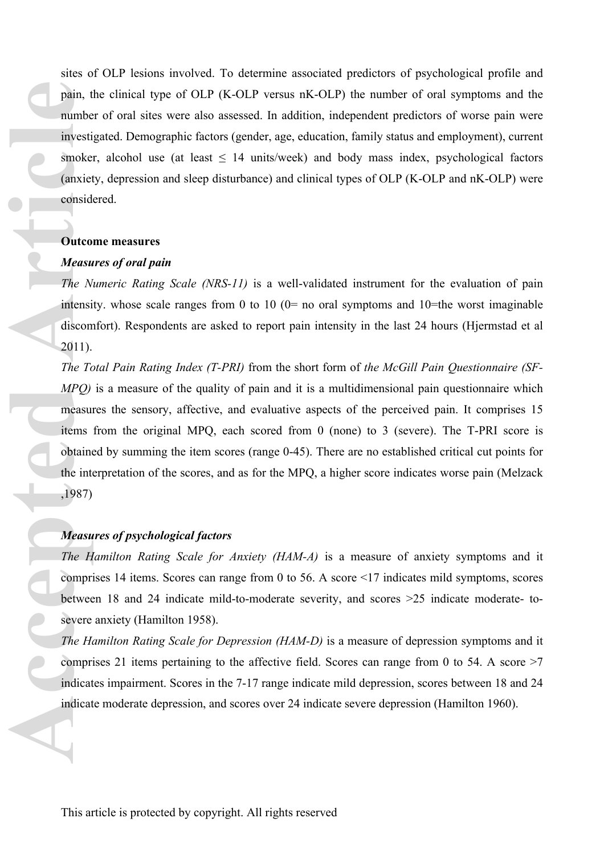sites of OLP lesions involved. To determine associated predictors of psychological profile and pain, the clinical type of OLP (K-OLP versus nK-OLP) the number of oral symptoms and the number of oral sites were also assessed. In addition, independent predictors of worse pain were investigated. Demographic factors (gender, age, education, family status and employment), current smoker, alcohol use (at least  $\leq 14$  units/week) and body mass index, psychological factors (anxiety, depression and sleep disturbance) and clinical types of OLP (K-OLP and nK-OLP) were considered.

#### **Outcome measures**

#### *Measures of oral pain*

*The Numeric Rating Scale (NRS-11)* is a well-validated instrument for the evaluation of pain intensity, whose scale ranges from 0 to 10  $(0=$  no oral symptoms and 10=the worst imaginable discomfort). Respondents are asked to report pain intensity in the last 24 hours (Hjermstad et al 2011).

*The Total Pain Rating Index (T-PRI)* from the short form of *the McGill Pain Questionnaire (SF-MPQ)* is a measure of the quality of pain and it is a multidimensional pain questionnaire which measures the sensory, affective, and evaluative aspects of the perceived pain. It comprises 15 items from the original MPQ, each scored from 0 (none) to 3 (severe). The T-PRI score is obtained by summing the item scores (range 0-45). There are no established critical cut points for the interpretation of the scores, and as for the MPQ, a higher score indicates worse pain (Melzack ,1987) pain, the number investion and the internal of the *N*<br>
acceptable (anxiet consider)<br>
Cutto *Measu*<br>
The *N*<br>
intensidiscom<br>
2011).<br>
The *Tc*<br> *MPQ*) measur<br>
tems<br>
obtaine the intensidiscom<br> *PRP*<br> *MPQ*) measur<br> *The H*<br>

#### *Measures of psychological factors*

*The Hamilton Rating Scale for Anxiety (HAM-A)* is a measure of anxiety symptoms and it comprises 14 items. Scores can range from 0 to 56. A score <17 indicates mild symptoms, scores between 18 and 24 indicate mild-to-moderate severity, and scores >25 indicate moderate- tosevere anxiety (Hamilton 1958).

*The Hamilton Rating Scale for Depression (HAM-D)* is a measure of depression symptoms and it comprises 21 items pertaining to the affective field. Scores can range from 0 to 54. A score >7 indicates impairment. Scores in the 7-17 range indicate mild depression, scores between 18 and 24 indicate moderate depression, and scores over 24 indicate severe depression (Hamilton 1960).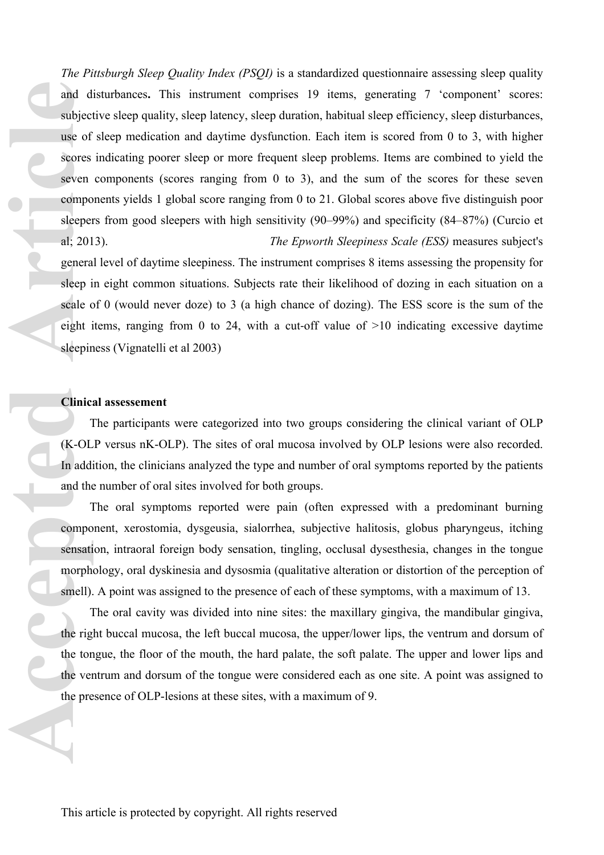*The Pittsburgh Sleep Quality Index (PSQI)* is a standardized questionnaire assessing sleep quality and disturbances**.** This instrument comprises 19 items, generating 7 'component' scores: subjective sleep quality, sleep latency, sleep duration, habitual sleep efficiency, sleep disturbances, use of sleep medication and daytime dysfunction. Each item is scored from 0 to 3, with higher scores indicating poorer sleep or more frequent sleep problems. Items are combined to yield the seven components (scores ranging from 0 to 3), and the sum of the scores for these seven components yields 1 global score ranging from 0 to 21. Global scores above five distinguish poor sleepers from good sleepers with high sensitivity (90–99%) and specificity (84–87%) (Curcio et al; 2013). *The Epworth Sleepiness Scale (ESS)* measures subject's general level of daytime sleepiness. The instrument comprises 8 items assessing the propensity for sleep in eight common situations. Subjects rate their likelihood of dozing in each situation on a scale of 0 (would never doze) to 3 (a high chance of dozing). The ESS score is the sum of the eight items, ranging from 0 to 24, with a cut-off value of  $>10$  indicating excessive daytime and d<br>subject<br>use of<br>scores<br>seven<br>compo<br>sleeper al; 201<br>genera<br>sleep i<br>scale c<br>eight i<br>sleepir<br>Clinic:<br>7<br>(K-OL<br>In addi<br>and the<br>7<br>compo<br>sensatil in the proper sleep in the sleepir<br>compo<br>sensatil morph<br>small).

#### **Clinical assessement**

sleepiness (Vignatelli et al 2003)

The participants were categorized into two groups considering the clinical variant of OLP (K-OLP versus nK-OLP). The sites of oral mucosa involved by OLP lesions were also recorded. In addition, the clinicians analyzed the type and number of oral symptoms reported by the patients and the number of oral sites involved for both groups.

The oral symptoms reported were pain (often expressed with a predominant burning component, xerostomia, dysgeusia, sialorrhea, subjective halitosis, globus pharyngeus, itching sensation, intraoral foreign body sensation, tingling, occlusal dysesthesia, changes in the tongue morphology, oral dyskinesia and dysosmia (qualitative alteration or distortion of the perception of smell). A point was assigned to the presence of each of these symptoms, with a maximum of 13.

The oral cavity was divided into nine sites: the maxillary gingiva, the mandibular gingiva, the right buccal mucosa, the left buccal mucosa, the upper/lower lips, the ventrum and dorsum of the tongue, the floor of the mouth, the hard palate, the soft palate. The upper and lower lips and the ventrum and dorsum of the tongue were considered each as one site. A point was assigned to the presence of OLP-lesions at these sites, with a maximum of 9.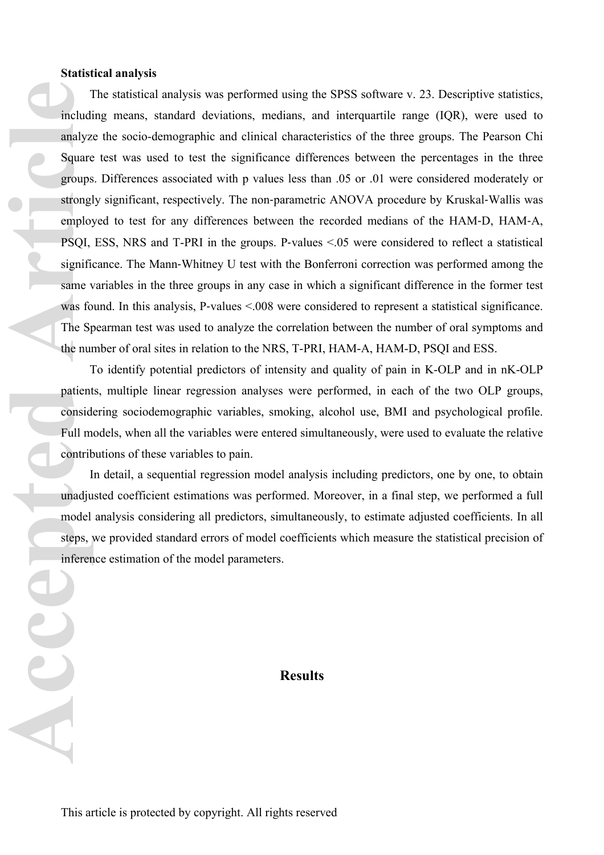#### **Statistical analysis**

The statistical analysis was performed using the SPSS software v. 23. Descriptive statistics, including means, standard deviations, medians, and interquartile range (IQR), were used to analyze the socio-demographic and clinical characteristics of the three groups. The Pearson Chi Square test was used to test the significance differences between the percentages in the three groups. Differences associated with p values less than .05 or .01 were considered moderately or strongly significant, respectively. The non-parametric ANOVA procedure by Kruskal-Wallis was employed to test for any differences between the recorded medians of the HAM‐D, HAM‐A, PSQI, ESS, NRS and T-PRI in the groups. P‐values <.05 were considered to reflect a statistical significance. The Mann‐Whitney U test with the Bonferroni correction was performed among the same variables in the three groups in any case in which a significant difference in the former test was found. In this analysis, P-values <.008 were considered to represent a statistical significance. The Spearman test was used to analyze the correlation between the number of oral symptoms and the number of oral sites in relation to the NRS, T-PRI, HAM-A, HAM-D, PSQI and ESS. Tincludi<br>
analyz<br>
Square<br>
groups<br>
strongl<br>
emplo:<br>
PSQI,<br>
signific<br>
same v<br>
was fo<br>
The S<sub>I</sub> was fo<br>
The S<sub>I</sub> was fo<br>
The S<sub>I</sub> was fo<br>
The S<sub>I</sub> mundju<br>
patient<br>
consid<br>
Full m<br>
contrit<br>
I unadju<br>
model<br>
steps, y<br>
inferer

To identify potential predictors of intensity and quality of pain in K-OLP and in nK-OLP patients, multiple linear regression analyses were performed, in each of the two OLP groups, considering sociodemographic variables, smoking, alcohol use, BMI and psychological profile. Full models, when all the variables were entered simultaneously, were used to evaluate the relative contributions of these variables to pain.

In detail, a sequential regression model analysis including predictors, one by one, to obtain unadjusted coefficient estimations was performed. Moreover, in a final step, we performed a full model analysis considering all predictors, simultaneously, to estimate adjusted coefficients. In all steps, we provided standard errors of model coefficients which measure the statistical precision of inference estimation of the model parameters.

## **Results**

AC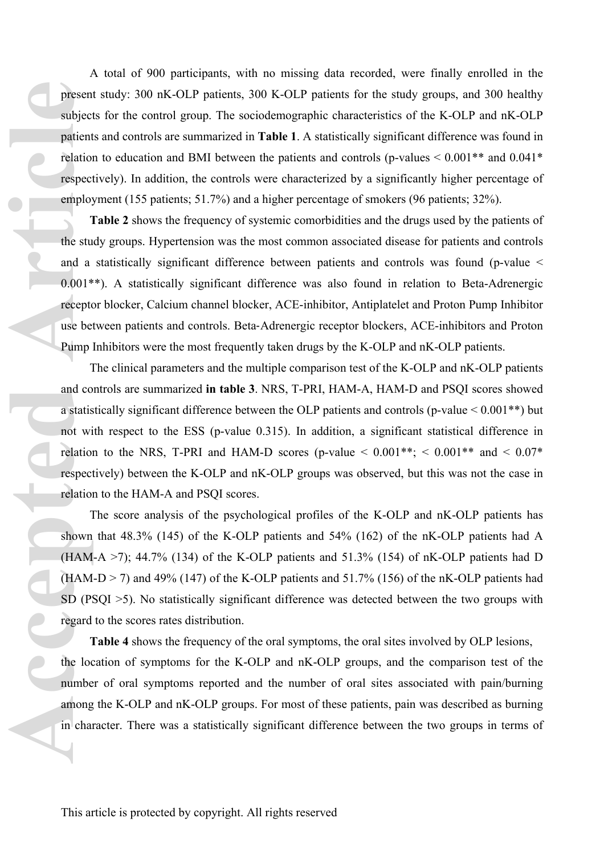A total of 900 participants, with no missing data recorded, were finally enrolled in the present study: 300 nK-OLP patients, 300 K-OLP patients for the study groups, and 300 healthy subjects for the control group. The sociodemographic characteristics of the K-OLP and nK-OLP patients and controls are summarized in **Table 1**. A statistically significant difference was found in relation to education and BMI between the patients and controls (p-values  $\leq 0.001**$  and  $0.041*$ ) respectively). In addition, the controls were characterized by a significantly higher percentage of employment (155 patients; 51.7%) and a higher percentage of smokers (96 patients; 32%).

**Table 2** shows the frequency of systemic comorbidities and the drugs used by the patients of the study groups. Hypertension was the most common associated disease for patients and controls and a statistically significant difference between patients and controls was found (p-value < 0.001\*\*). A statistically significant difference was also found in relation to Beta-Adrenergic receptor blocker, Calcium channel blocker, ACE-inhibitor, Antiplatelet and Proton Pump Inhibitor use between patients and controls. Beta‐Adrenergic receptor blockers, ACE-inhibitors and Proton Pump Inhibitors were the most frequently taken drugs by the K-OLP and nK-OLP patients. **Presen**<br>
subject<br>
patient<br>
relation<br>
respect<br>
employ<br>
<sup>1</sup><br>
the stu and a<br>
0.001\*<br>
recept<br>
use be<br>
Pump<br>
1<br>
and co<br>
a statis<br>
not will relation<br>
respect<br>
relation<br>
respect<br>
relation<br>
(HAM<br>
(HAM<br>
(HAM<br>
SD (P)<br>
regard<br>
1<br>
th

The clinical parameters and the multiple comparison test of the K-OLP and nK-OLP patients and controls are summarized **in table 3**. NRS, T-PRI, HAM-A, HAM-D and PSQI scores showed a statistically significant difference between the OLP patients and controls (p-value < 0.001\*\*) but not with respect to the ESS (p-value 0.315). In addition, a significant statistical difference in relation to the NRS, T-PRI and HAM-D scores (p-value  $\leq 0.001**$ ;  $\leq 0.001**$  and  $\leq 0.07*$ respectively) between the K-OLP and nK-OLP groups was observed, but this was not the case in relation to the HAM-A and PSQI scores.

The score analysis of the psychological profiles of the K-OLP and nK-OLP patients has shown that 48.3% (145) of the K-OLP patients and 54% (162) of the nK-OLP patients had A (HAM-A  $>$ 7); 44.7% (134) of the K-OLP patients and 51.3% (154) of nK-OLP patients had D  $(HAM-D > 7)$  and 49% (147) of the K-OLP patients and 51.7% (156) of the nK-OLP patients had SD (PSQI >5). No statistically significant difference was detected between the two groups with regard to the scores rates distribution.

**Table 4** shows the frequency of the oral symptoms, the oral sites involved by OLP lesions, the location of symptoms for the K-OLP and nK-OLP groups, and the comparison test of the number of oral symptoms reported and the number of oral sites associated with pain/burning among the K-OLP and nK-OLP groups. For most of these patients, pain was described as burning in character. There was a statistically significant difference between the two groups in terms of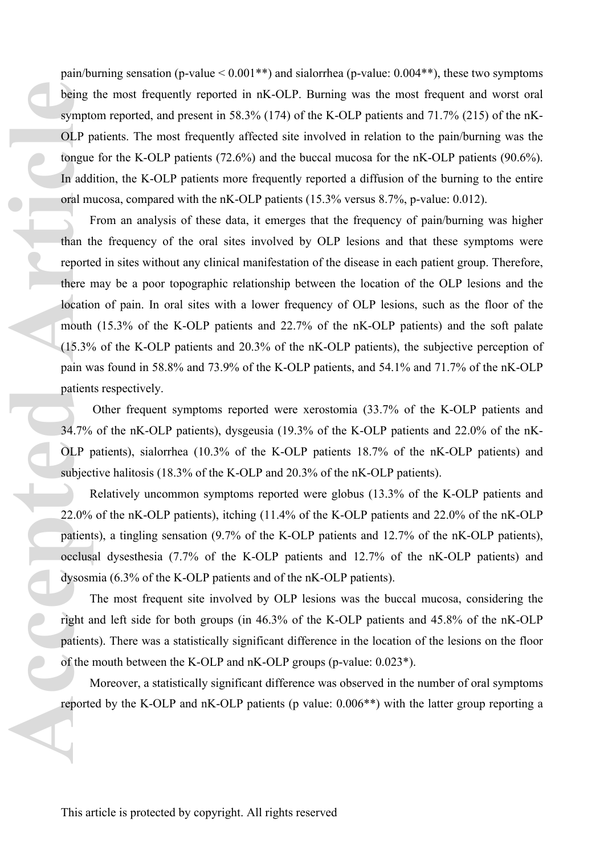pain/burning sensation (p-value  $< 0.001**$ ) and sialorrhea (p-value: 0.004\*\*), these two symptoms being the most frequently reported in nK-OLP. Burning was the most frequent and worst oral symptom reported, and present in 58.3% (174) of the K-OLP patients and 71.7% (215) of the nK-OLP patients. The most frequently affected site involved in relation to the pain/burning was the tongue for the K-OLP patients (72.6%) and the buccal mucosa for the nK-OLP patients (90.6%). In addition, the K-OLP patients more frequently reported a diffusion of the burning to the entire oral mucosa, compared with the nK-OLP patients (15.3% versus 8.7%, p-value: 0.012).

From an analysis of these data, it emerges that the frequency of pain/burning was higher than the frequency of the oral sites involved by OLP lesions and that these symptoms were reported in sites without any clinical manifestation of the disease in each patient group. Therefore, there may be a poor topographic relationship between the location of the OLP lesions and the location of pain. In oral sites with a lower frequency of OLP lesions, such as the floor of the mouth (15.3% of the K-OLP patients and 22.7% of the nK-OLP patients) and the soft palate (15.3% of the K-OLP patients and 20.3% of the nK-OLP patients), the subjective perception of pain was found in 58.8% and 73.9% of the K-OLP patients, and 54.1% and 71.7% of the nK-OLP patients respectively. **Access 1993**<br> **Access 1999**<br> **Access 1999**<br> **Access 1999**<br> **Access 1999**<br> **Access 1999**<br> **Access 1999**<br> **Access 1999**<br> **Access 1999**<br> **Access 1999**<br> **Access 1999**<br> **Access 1999**<br> **Access 1999**<br> **Access 1999**<br> **Access 1999** 

 Other frequent symptoms reported were xerostomia (33.7% of the K-OLP patients and 34.7% of the nK-OLP patients), dysgeusia (19.3% of the K-OLP patients and 22.0% of the nK-OLP patients), sialorrhea (10.3% of the K-OLP patients 18.7% of the nK-OLP patients) and subjective halitosis (18.3% of the K-OLP and 20.3% of the nK-OLP patients).

Relatively uncommon symptoms reported were globus (13.3% of the K-OLP patients and 22.0% of the nK-OLP patients), itching (11.4% of the K-OLP patients and 22.0% of the nK-OLP patients), a tingling sensation (9.7% of the K-OLP patients and 12.7% of the nK-OLP patients), occlusal dysesthesia (7.7% of the K-OLP patients and 12.7% of the nK-OLP patients) and dysosmia (6.3% of the K-OLP patients and of the nK-OLP patients).

The most frequent site involved by OLP lesions was the buccal mucosa, considering the right and left side for both groups (in 46.3% of the K-OLP patients and 45.8% of the nK-OLP patients). There was a statistically significant difference in the location of the lesions on the floor of the mouth between the K-OLP and nK-OLP groups (p-value: 0.023\*).

Moreover, a statistically significant difference was observed in the number of oral symptoms reported by the K-OLP and nK-OLP patients (p value: 0.006\*\*) with the latter group reporting a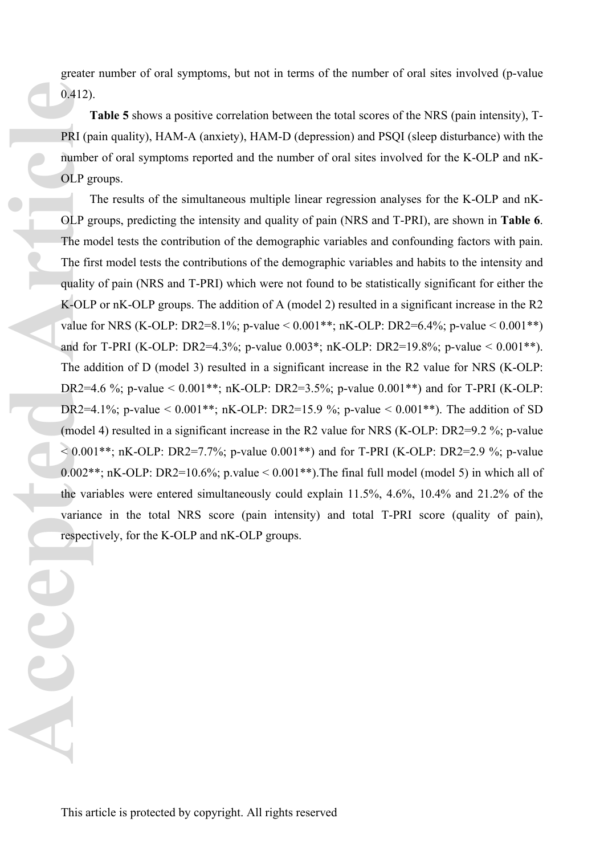greater number of oral symptoms, but not in terms of the number of oral sites involved (p-value 0.412).

**Table 5** shows a positive correlation between the total scores of the NRS (pain intensity), T-PRI (pain quality), HAM-A (anxiety), HAM-D (depression) and PSQI (sleep disturbance) with the number of oral symptoms reported and the number of oral sites involved for the K-OLP and nK-OLP groups.

The results of the simultaneous multiple linear regression analyses for the K-OLP and nK-OLP groups, predicting the intensity and quality of pain (NRS and T-PRI), are shown in **Table 6**. The model tests the contribution of the demographic variables and confounding factors with pain. The first model tests the contributions of the demographic variables and habits to the intensity and quality of pain (NRS and T-PRI) which were not found to be statistically significant for either the K-OLP or nK-OLP groups. The addition of A (model 2) resulted in a significant increase in the R2 value for NRS (K-OLP: DR2=8.1%; p-value <  $0.001**$ ; nK-OLP: DR2=6.4%; p-value <  $0.001**$ ) and for T-PRI (K-OLP: DR2=4.3%; p-value 0.003\*; nK-OLP: DR2=19.8%; p-value < 0.001\*\*). The addition of D (model 3) resulted in a significant increase in the R2 value for NRS (K-OLP: DR2=4.6 %; p-value <  $0.001**$ ; nK-OLP: DR2=3.5%; p-value  $0.001**$ ) and for T-PRI (K-OLP: DR2=4.1%; p-value <  $0.001$ <sup>\*\*</sup>; nK-OLP: DR2=15.9 %; p-value <  $0.001$ <sup>\*\*</sup>). The addition of SD (model 4) resulted in a significant increase in the R2 value for NRS (K-OLP: DR2=9.2 %; p-value  $< 0.001$ \*\*; nK-OLP: DR2=7.7%; p-value 0.001\*\*) and for T-PRI (K-OLP: DR2=2.9 %; p-value  $0.002**$ ; nK-OLP: DR2=10.6%; p.value < 0.001\*\*). The final full model (model 5) in which all of the variables were entered simultaneously could explain 11.5%, 4.6%, 10.4% and 21.2% of the variance in the total NRS score (pain intensity) and total T-PRI score (quality of pain), respectively, for the K-OLP and nK-OLP groups.

**Accepted Article**<br> **Accept 1**<br> **Accept 1**<br> **Accept 1**<br> **Accept 1**<br> **Accept 1**<br> **Accept 1**<br> **Accept 1**<br> **Accept 1**<br> **Accept 1**<br> **Accept 1**<br> **Accept 1**<br> **Accept 1**<br> **Accept 1**<br> **Accept 1**<br> **Accept 1**<br> **Accept 1**<br> **Accept 1**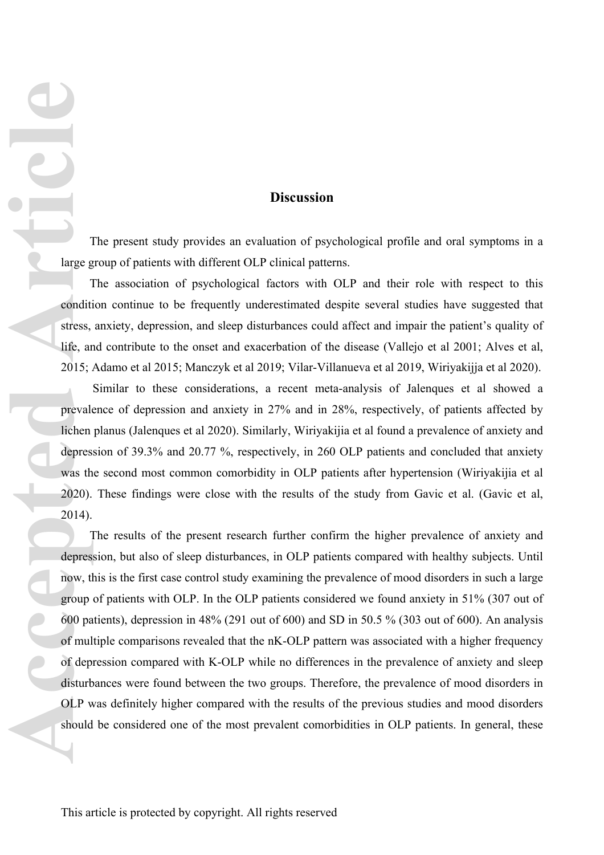## **Discussion**

The present study provides an evaluation of psychological profile and oral symptoms in a large group of patients with different OLP clinical patterns.

The association of psychological factors with OLP and their role with respect to this condition continue to be frequently underestimated despite several studies have suggested that stress, anxiety, depression, and sleep disturbances could affect and impair the patient's quality of life, and contribute to the onset and exacerbation of the disease (Vallejo et al 2001; Alves et al, 2015; Adamo et al 2015; Manczyk et al 2019; Vilar-Villanueva et al 2019, Wiriyakijja et al 2020).

 Similar to these considerations, a recent meta-analysis of Jalenques et al showed a prevalence of depression and anxiety in 27% and in 28%, respectively, of patients affected by lichen planus (Jalenques et al 2020). Similarly, Wiriyakijia et al found a prevalence of anxiety and depression of 39.3% and 20.77 %, respectively, in 260 OLP patients and concluded that anxiety was the second most common comorbidity in OLP patients after hypertension (Wiriyakijia et al 2020). These findings were close with the results of the study from Gavic et al. (Gavic et al, 2014).

The results of the present research further confirm the higher prevalence of anxiety and depression, but also of sleep disturbances, in OLP patients compared with healthy subjects. Until now, this is the first case control study examining the prevalence of mood disorders in such a large group of patients with OLP. In the OLP patients considered we found anxiety in 51% (307 out of 600 patients), depression in 48% (291 out of 600) and SD in 50.5 % (303 out of 600). An analysis of multiple comparisons revealed that the nK-OLP pattern was associated with a higher frequency of depression compared with K-OLP while no differences in the prevalence of anxiety and sleep disturbances were found between the two groups. Therefore, the prevalence of mood disorders in OLP was definitely higher compared with the results of the previous studies and mood disorders should be considered one of the most prevalent comorbidities in OLP patients. In general, these **Access**<br> **Access**<br> **Access**<br> **Access**<br> **Access**<br> **Access**<br> **Access**<br> **Access**<br> **Access**<br> **Access**<br> **Access**<br> **Access**<br> **Access**<br> **Access**<br> **Access**<br> **Access**<br> **Access**<br> **Access**<br> **Access**<br> **Access**<br> **Access**<br> **Access**<br> **A**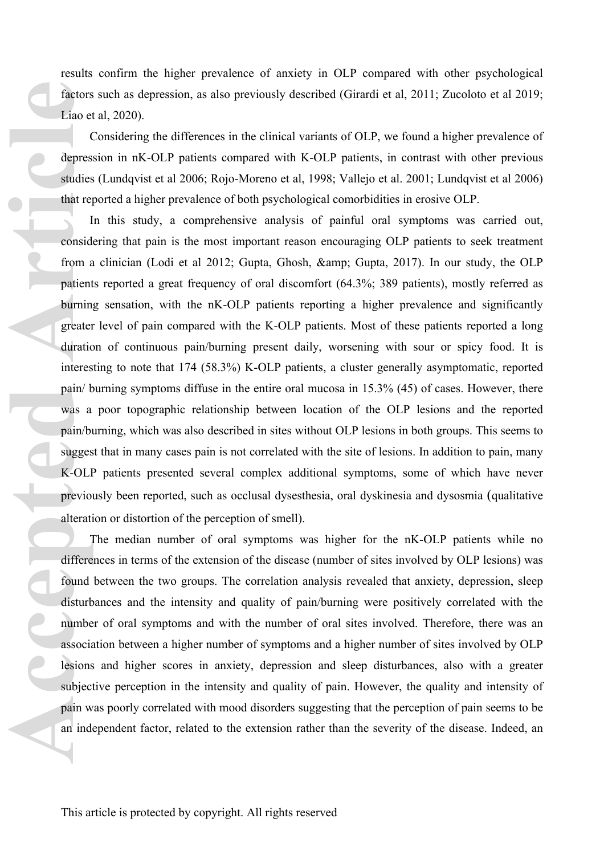results confirm the higher prevalence of anxiety in OLP compared with other psychological factors such as depression, as also previously described (Girardi et al, 2011; Zucoloto et al 2019; Liao et al, 2020).

Considering the differences in the clinical variants of OLP, we found a higher prevalence of depression in nK-OLP patients compared with K-OLP patients, in contrast with other previous studies (Lundqvist et al 2006; Rojo-Moreno et al, 1998; Vallejo et al. 2001; Lundqvist et al 2006) that reported a higher prevalence of both psychological comorbidities in erosive OLP.

In this study, a comprehensive analysis of painful oral symptoms was carried out, considering that pain is the most important reason encouraging OLP patients to seek treatment from a clinician (Lodi et al 2012; Gupta, Ghosh, & amp; Gupta, 2017). In our study, the OLP patients reported a great frequency of oral discomfort (64.3%; 389 patients), mostly referred as burning sensation, with the nK-OLP patients reporting a higher prevalence and significantly greater level of pain compared with the K-OLP patients. Most of these patients reported a long duration of continuous pain/burning present daily, worsening with sour or spicy food. It is interesting to note that 174 (58.3%) K-OLP patients, a cluster generally asymptomatic, reported pain/ burning symptoms diffuse in the entire oral mucosa in 15.3% (45) of cases. However, there was a poor topographic relationship between location of the OLP lesions and the reported pain/burning, which was also described in sites without OLP lesions in both groups. This seems to suggest that in many cases pain is not correlated with the site of lesions. In addition to pain, many K-OLP patients presented several complex additional symptoms, some of which have never previously been reported, such as occlusal dysesthesia, oral dyskinesia and dysosmia (qualitative alteration or distortion of the perception of smell). Factors<br>
Liao et<br>
depres<br>
studies<br>
that represent and the red article<br>
from a patient burning greater<br>
duratic interes<br>
pain/b<br>
sugges<br>
K-OLI<br>
previous<br>
alteration<br>
disturb<br>
alteration<br>
disturb<br>
mumbe<br>
associa<br>
lesions<br>
su

The median number of oral symptoms was higher for the nK-OLP patients while no differences in terms of the extension of the disease (number of sites involved by OLP lesions) was found between the two groups. The correlation analysis revealed that anxiety, depression, sleep disturbances and the intensity and quality of pain/burning were positively correlated with the number of oral symptoms and with the number of oral sites involved. Therefore, there was an association between a higher number of symptoms and a higher number of sites involved by OLP lesions and higher scores in anxiety, depression and sleep disturbances, also with a greater subjective perception in the intensity and quality of pain. However, the quality and intensity of pain was poorly correlated with mood disorders suggesting that the perception of pain seems to be an independent factor, related to the extension rather than the severity of the disease. Indeed, an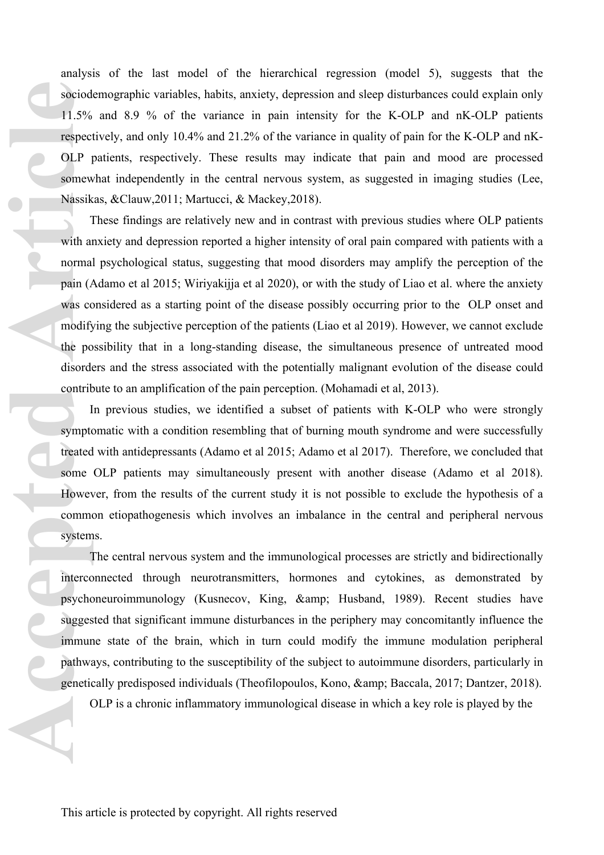analysis of the last model of the hierarchical regression (model 5), suggests that the sociodemographic variables, habits, anxiety, depression and sleep disturbances could explain only 11.5% and 8.9 % of the variance in pain intensity for the K-OLP and nK-OLP patients respectively, and only 10.4% and 21.2% of the variance in quality of pain for the K-OLP and nK-OLP patients, respectively. These results may indicate that pain and mood are processed somewhat independently in the central nervous system, as suggested in imaging studies (Lee, Nassikas, &Clauw,2011; Martucci, & Mackey,2018).

These findings are relatively new and in contrast with previous studies where OLP patients with anxiety and depression reported a higher intensity of oral pain compared with patients with a normal psychological status, suggesting that mood disorders may amplify the perception of the pain (Adamo et al 2015; Wiriyakijja et al 2020), or with the study of Liao et al. where the anxiety was considered as a starting point of the disease possibly occurring prior to the OLP onset and modifying the subjective perception of the patients (Liao et al 2019). However, we cannot exclude the possibility that in a long-standing disease, the simultaneous presence of untreated mood disorders and the stress associated with the potentially malignant evolution of the disease could contribute to an amplification of the pain perception. (Mohamadi et al, 2013). sociod<br>
11.5%<br>
respect<br>
OLP 1<br>
somew<br>
Nassik<br>
<sup>1</sup><br>
with an<br>
normal<br>
pain (*t*<br>
was cc<br>
modify<br>
the po<br>
disorde<br>
contrit<br>
I<br>
sympt<br>
treated<br>
some<br>
Howev<br>
comme<br>
system<br>
1<br>
interce<br>
system<br>
1<br>
interce<br>
system<br>
1<br>
interce<br>
sy

In previous studies, we identified a subset of patients with K-OLP who were strongly symptomatic with a condition resembling that of burning mouth syndrome and were successfully treated with antidepressants (Adamo et al 2015; Adamo et al 2017). Therefore, we concluded that some OLP patients may simultaneously present with another disease (Adamo et al 2018). However, from the results of the current study it is not possible to exclude the hypothesis of a common etiopathogenesis which involves an imbalance in the central and peripheral nervous systems.

The central nervous system and the immunological processes are strictly and bidirectionally interconnected through neurotransmitters, hormones and cytokines, as demonstrated by psychoneuroimmunology (Kusnecov, King, & amp; Husband, 1989). Recent studies have suggested that significant immune disturbances in the periphery may concomitantly influence the immune state of the brain, which in turn could modify the immune modulation peripheral pathways, contributing to the susceptibility of the subject to autoimmune disorders, particularly in genetically predisposed individuals (Theofilopoulos, Kono, & amp; Baccala, 2017; Dantzer, 2018).

OLP is a chronic inflammatory immunological disease in which a key role is played by the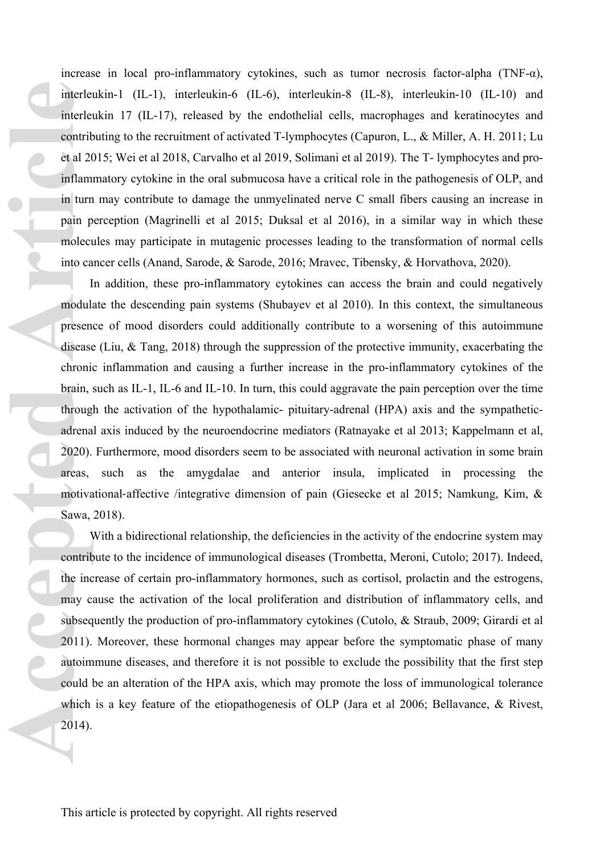increase in local pro-inflammatory cytokines, such as tumor necrosis factor-alpha (TNF-α), interleukin-1 (IL-1), interleukin-6 (IL-6), interleukin-8 (IL-8), interleukin-10 (IL-10) and interleukin 17 (IL-17), released by the endothelial cells, macrophages and keratinocytes and contributing to the recruitment of activated T-lymphocytes (Capuron, L., & Miller, A. H. 2011; Lu et al 2015; Wei et al 2018, Carvalho et al 2019, Solimani et al 2019). The T- lymphocytes and proinflammatory cytokine in the oral submucosa have a critical role in the pathogenesis of OLP, and in turn may contribute to damage the unmyelinated nerve C small fibers causing an increase in pain perception (Magrinelli et al 2015; Duksal et al 2016), in a similar way in which these molecules may participate in mutagenic processes leading to the transformation of normal cells into cancer cells (Anand, Sarode, & Sarode, 2016; Mravec, Tibensky, & Horvathova, 2020).

In addition, these pro-inflammatory cytokines can access the brain and could negatively modulate the descending pain systems (Shubayev et al 2010). In this context, the simultaneous presence of mood disorders could additionally contribute to a worsening of this autoimmune disease (Liu, & Tang, 2018) through the suppression of the protective immunity, exacerbating the chronic inflammation and causing a further increase in the pro-inflammatory cytokines of the brain, such as IL-1, IL-6 and IL-10. In turn, this could aggravate the pain perception over the time through the activation of the hypothalamic- pituitary-adrenal (HPA) axis and the sympatheticadrenal axis induced by the neuroendocrine mediators (Ratnayake et al 2013; Kappelmann et al, 2020). Furthermore, mood disorders seem to be associated with neuronal activation in some brain areas, such as the amygdalae and anterior insula, implicated in processing the motivational‐affective /integrative dimension of pain (Giesecke et al 2015; Namkung, Kim, & Sawa, 2018). interle<br>
interle<br>
interle<br>
contrit<br>
et al 2(<br>
inflam<br>
in turn<br>
pain p<br>
molect<br>
into ca<br>
I<br>
modul:<br>
presen<br>
disease<br>
chronic<br>
brain, :<br>
throug<br>
adrena<br>
2020).<br>
areas,<br>
motiva<br>
sawa,<br>
contrit<br>
the inc<br>
sawa,<br>
contrit<br>
the in

With a bidirectional relationship, the deficiencies in the activity of the endocrine system may contribute to the incidence of immunological diseases (Trombetta, Meroni, Cutolo; 2017). Indeed, the increase of certain pro-inflammatory hormones, such as cortisol, prolactin and the estrogens, may cause the activation of the local proliferation and distribution of inflammatory cells, and subsequently the production of pro-inflammatory cytokines (Cutolo, & Straub, 2009; Girardi et al 2011). Moreover, these hormonal changes may appear before the symptomatic phase of many autoimmune diseases, and therefore it is not possible to exclude the possibility that the first step could be an alteration of the HPA axis, which may promote the loss of immunological tolerance which is a key feature of the etiopathogenesis of OLP (Jara et al 2006; Bellavance, & Rivest, 2014).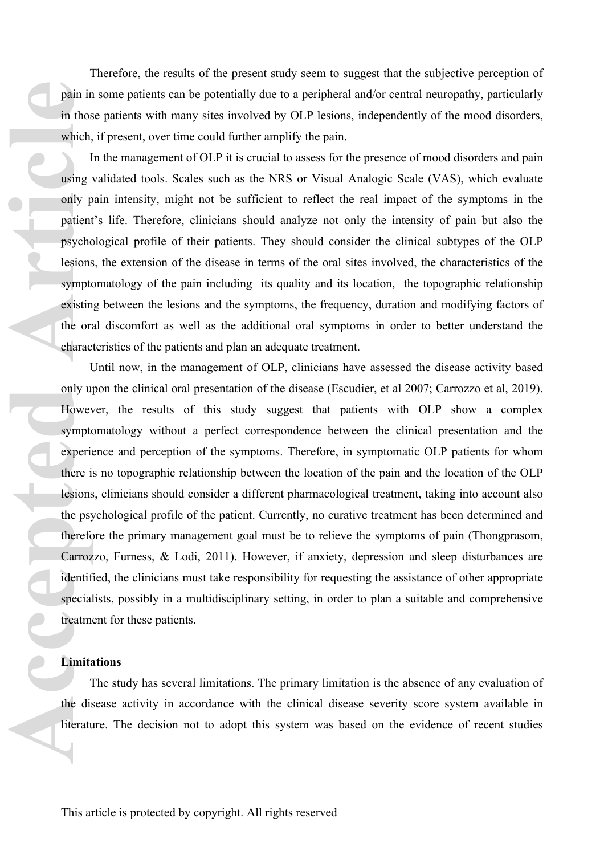Therefore, the results of the present study seem to suggest that the subjective perception of pain in some patients can be potentially due to a peripheral and/or central neuropathy, particularly in those patients with many sites involved by OLP lesions, independently of the mood disorders, which, if present, over time could further amplify the pain.

In the management of OLP it is crucial to assess for the presence of mood disorders and pain using validated tools. Scales such as the NRS or Visual Analogic Scale (VAS), which evaluate only pain intensity, might not be sufficient to reflect the real impact of the symptoms in the patient's life. Therefore, clinicians should analyze not only the intensity of pain but also the psychological profile of their patients. They should consider the clinical subtypes of the OLP lesions, the extension of the disease in terms of the oral sites involved, the characteristics of the symptomatology of the pain including its quality and its location, the topographic relationship existing between the lesions and the symptoms, the frequency, duration and modifying factors of the oral discomfort as well as the additional oral symptoms in order to better understand the characteristics of the patients and plan an adequate treatment.

Until now, in the management of OLP, clinicians have assessed the disease activity based only upon the clinical oral presentation of the disease (Escudier, et al 2007; Carrozzo et al, 2019). However, the results of this study suggest that patients with OLP show a complex symptomatology without a perfect correspondence between the clinical presentation and the experience and perception of the symptoms. Therefore, in symptomatic OLP patients for whom there is no topographic relationship between the location of the pain and the location of the OLP lesions, clinicians should consider a different pharmacological treatment, taking into account also the psychological profile of the patient. Currently, no curative treatment has been determined and therefore the primary management goal must be to relieve the symptoms of pain (Thongprasom, Carrozzo, Furness, & Lodi, 2011). However, if anxiety, depression and sleep disturbances are identified, the clinicians must take responsibility for requesting the assistance of other appropriate specialists, possibly in a multidisciplinary setting, in order to plan a suitable and comprehensive treatment for these patients. pain in those which, I<br>in those which, I<br>using ' only p<br>patient psychocolesions<br>symptocristin<br>the orac computer of charace I<br>only up<br>Howev symptocristing the orac computer of the orac charace is<br>lesions the psychereic carr

## **Limitations**

The study has several limitations. The primary limitation is the absence of any evaluation of the disease activity in accordance with the clinical disease severity score system available in literature. The decision not to adopt this system was based on the evidence of recent studies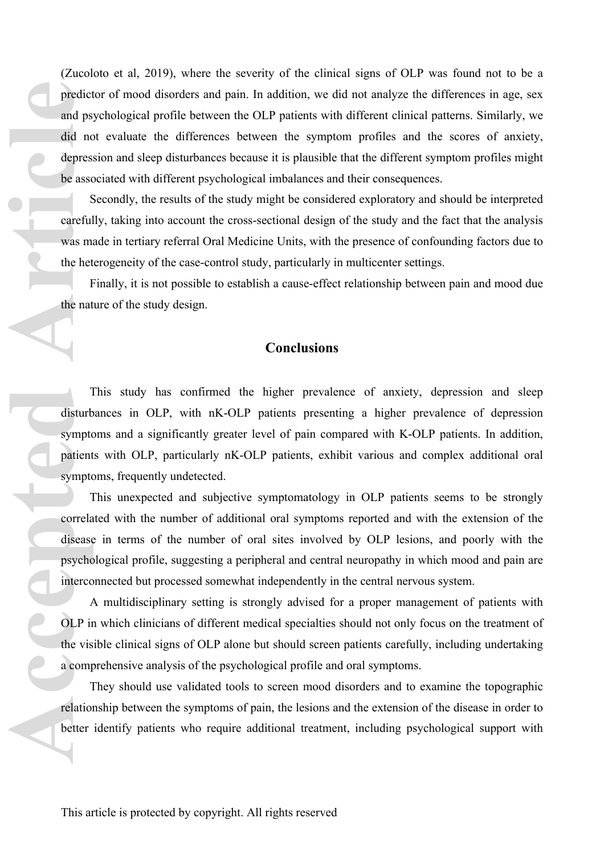(Zucoloto et al, 2019), where the severity of the clinical signs of OLP was found not to be a predictor of mood disorders and pain. In addition, we did not analyze the differences in age, sex and psychological profile between the OLP patients with different clinical patterns. Similarly, we did not evaluate the differences between the symptom profiles and the scores of anxiety, depression and sleep disturbances because it is plausible that the different symptom profiles might be associated with different psychological imbalances and their consequences. predict<br>
and ps<br>
did not<br>
depres<br>
be assoc<br>
scareful<br>
was m<br>
the het<br>
If the nat<br>
He nat<br>
He nat<br>
disturb<br>
symptocrocle<br>
disease<br>
psychoc<br>
interce<br>
disease<br>
psychoc<br>
interce<br>
disease<br>
psyche<br>
interce<br>
disease<br>
psyche<br>
inte

Secondly, the results of the study might be considered exploratory and should be interpreted carefully, taking into account the cross-sectional design of the study and the fact that the analysis was made in tertiary referral Oral Medicine Units, with the presence of confounding factors due to the heterogeneity of the case-control study, particularly in multicenter settings.

Finally, it is not possible to establish a cause-effect relationship between pain and mood due the nature of the study design.

## **Conclusions**

This study has confirmed the higher prevalence of anxiety, depression and sleep disturbances in OLP, with nK-OLP patients presenting a higher prevalence of depression symptoms and a significantly greater level of pain compared with K-OLP patients. In addition, patients with OLP, particularly nK-OLP patients, exhibit various and complex additional oral symptoms, frequently undetected.

This unexpected and subjective symptomatology in OLP patients seems to be strongly correlated with the number of additional oral symptoms reported and with the extension of the disease in terms of the number of oral sites involved by OLP lesions, and poorly with the psychological profile, suggesting a peripheral and central neuropathy in which mood and pain are interconnected but processed somewhat independently in the central nervous system.

A multidisciplinary setting is strongly advised for a proper management of patients with OLP in which clinicians of different medical specialties should not only focus on the treatment of the visible clinical signs of OLP alone but should screen patients carefully, including undertaking a comprehensive analysis of the psychological profile and oral symptoms.

They should use validated tools to screen mood disorders and to examine the topographic relationship between the symptoms of pain, the lesions and the extension of the disease in order to better identify patients who require additional treatment, including psychological support with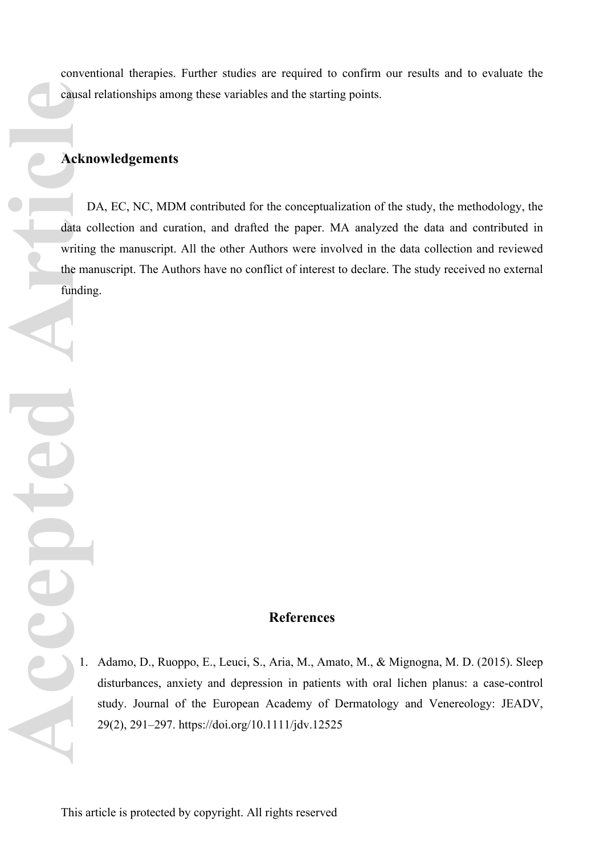conventional therapies. Further studies are required to confirm our results and to evaluate the causal relationships among these variables and the starting points.

# **Acknowledgements**

DA, EC, NC, MDM contributed for the conceptualization of the study, the methodology, the data collection and curation, and drafted the paper. MA analyzed the data and contributed in writing the manuscript. All the other Authors were involved in the data collection and reviewed the manuscript. The Authors have no conflict of interest to declare. The study received no external funding. **Columbus**<br> **Acker**<br> **Acker**<br> **Acker**<br> **Acker**<br> **Acker**<br> **Acker**<br> **Acker**<br> **Acker**<br> **Acker**<br> **Acker**<br> **Acker**<br> **Acker**<br> **Acker**<br> **Acker**<br> **Acker**<br> **Acker** 

# **References**

1. Adamo, D., Ruoppo, E., Leuci, S., Aria, M., Amato, M., & Mignogna, M. D. (2015). Sleep disturbances, anxiety and depression in patients with oral lichen planus: a case-control study. Journal of the European Academy of Dermatology and Venereology: JEADV, 29(2), 291–297. https://doi.org/10.1111/jdv.12525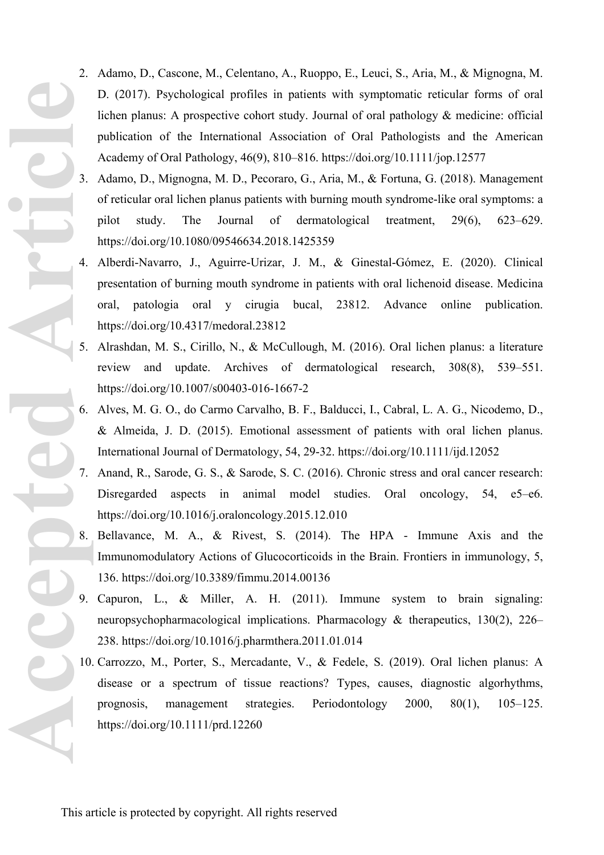- 2. Adamo, D., Cascone, M., Celentano, A., Ruoppo, E., Leuci, S., Aria, M., & Mignogna, M. D. (2017). Psychological profiles in patients with symptomatic reticular forms of oral lichen planus: A prospective cohort study. Journal of oral pathology & medicine: official publication of the International Association of Oral Pathologists and the American Academy of Oral Pathology, 46(9), 810–816. https://doi.org/10.1111/jop.12577
- 3. Adamo, D., Mignogna, M. D., Pecoraro, G., Aria, M., & Fortuna, G. (2018). Management of reticular oral lichen planus patients with burning mouth syndrome-like oral symptoms: a pilot study. The Journal of dermatological treatment, 29(6), 623–629. https://doi.org/10.1080/09546634.2018.1425359
- 4. Alberdi-Navarro, J., Aguirre-Urizar, J. M., & Ginestal-Gómez, E. (2020). Clinical presentation of burning mouth syndrome in patients with oral lichenoid disease. Medicina oral, patologia oral y cirugia bucal, 23812. Advance online publication. https://doi.org/10.4317/medoral.23812
- 5. Alrashdan, M. S., Cirillo, N., & McCullough, M. (2016). Oral lichen planus: a literature review and update. Archives of dermatological research, 308(8), 539–551. https://doi.org/10.1007/s00403-016-1667-2
- 6. Alves, M. G. O., do Carmo Carvalho, B. F., Balducci, I., Cabral, L. A. G., Nicodemo, D., & Almeida, J. D. (2015). Emotional assessment of patients with oral lichen planus. International Journal of Dermatology, 54, 29-32. https://doi.org/10.1111/ijd.12052
- 7. Anand, R., Sarode, G. S., & Sarode, S. C. (2016). Chronic stress and oral cancer research: Disregarded aspects in animal model studies. Oral oncology, 54, e5–e6. https://doi.org/10.1016/j.oraloncology.2015.12.010
- 8. Bellavance, M. A., & Rivest, S. (2014). The HPA Immune Axis and the Immunomodulatory Actions of Glucocorticoids in the Brain. Frontiers in immunology, 5, 136. https://doi.org/10.3389/fimmu.2014.00136
- 9. Capuron, L., & Miller, A. H. (2011). Immune system to brain signaling: neuropsychopharmacological implications. Pharmacology & therapeutics, 130(2), 226– 238. https://doi.org/10.1016/j.pharmthera.2011.01.014
- 10. Carrozzo, M., Porter, S., Mercadante, V., & Fedele, S. (2019). Oral lichen planus: A disease or a spectrum of tissue reactions? Types, causes, diagnostic algorhythms, prognosis, management strategies. Periodontology 2000, 80(1), 105–125. https://doi.org/10.1111/prd.12260 Accepted Article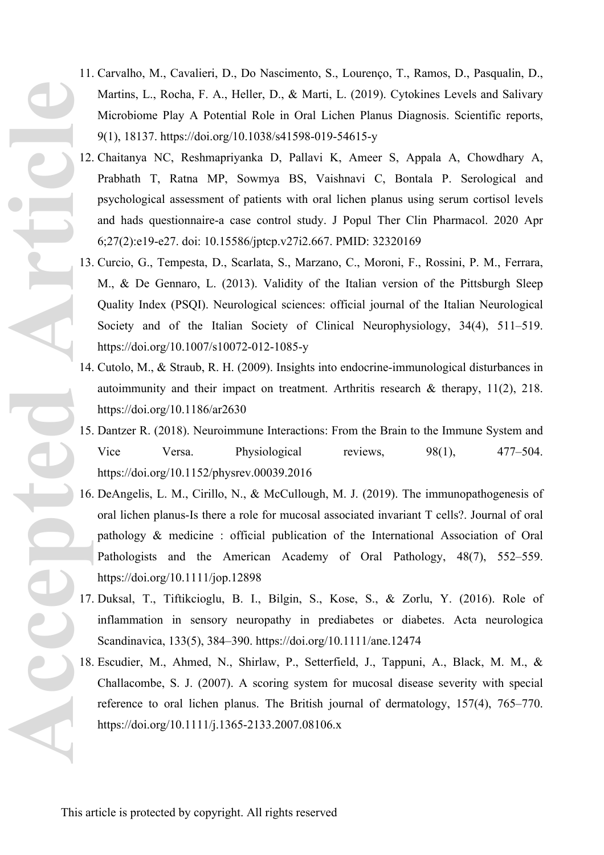- 11. Carvalho, M., Cavalieri, D., Do Nascimento, S., Lourenço, T., Ramos, D., Pasqualin, D., Martins, L., Rocha, F. A., Heller, D., & Marti, L. (2019). Cytokines Levels and Salivary Microbiome Play A Potential Role in Oral Lichen Planus Diagnosis. Scientific reports, 9(1), 18137. https://doi.org/10.1038/s41598-019-54615-y
- 12. Chaitanya NC, Reshmapriyanka D, Pallavi K, Ameer S, Appala A, Chowdhary A, Prabhath T, Ratna MP, Sowmya BS, Vaishnavi C, Bontala P. Serological and psychological assessment of patients with oral lichen planus using serum cortisol levels and hads questionnaire-a case control study. J Popul Ther Clin Pharmacol. 2020 Apr 6;27(2):e19-e27. doi: 10.15586/jptcp.v27i2.667. PMID: 32320169
- 13. Curcio, G., Tempesta, D., Scarlata, S., Marzano, C., Moroni, F., Rossini, P. M., Ferrara, M., & De Gennaro, L. (2013). Validity of the Italian version of the Pittsburgh Sleep Quality Index (PSQI). Neurological sciences: official journal of the Italian Neurological Society and of the Italian Society of Clinical Neurophysiology, 34(4), 511–519. https://doi.org/10.1007/s10072-012-1085-y
- 14. Cutolo, M., & Straub, R. H. (2009). Insights into endocrine-immunological disturbances in autoimmunity and their impact on treatment. Arthritis research & therapy, 11(2), 218. https://doi.org/10.1186/ar2630
- 15. Dantzer R. (2018). Neuroimmune Interactions: From the Brain to the Immune System and Vice Versa. Physiological reviews, 98(1), 477–504. https://doi.org/10.1152/physrev.00039.2016
- 16. DeAngelis, L. M., Cirillo, N., & McCullough, M. J. (2019). The immunopathogenesis of oral lichen planus-Is there a role for mucosal associated invariant T cells?. Journal of oral pathology & medicine : official publication of the International Association of Oral Pathologists and the American Academy of Oral Pathology, 48(7), 552–559. https://doi.org/10.1111/jop.12898
- 17. Duksal, T., Tiftikcioglu, B. I., Bilgin, S., Kose, S., & Zorlu, Y. (2016). Role of inflammation in sensory neuropathy in prediabetes or diabetes. Acta neurologica Scandinavica, 133(5), 384–390. https://doi.org/10.1111/ane.12474
- 18. Escudier, M., Ahmed, N., Shirlaw, P., Setterfield, J., Tappuni, A., Black, M. M., & Challacombe, S. J. (2007). A scoring system for mucosal disease severity with special reference to oral lichen planus. The British journal of dermatology, 157(4), 765–770. https://doi.org/10.1111/j.1365-2133.2007.08106.x

**Accepted** Article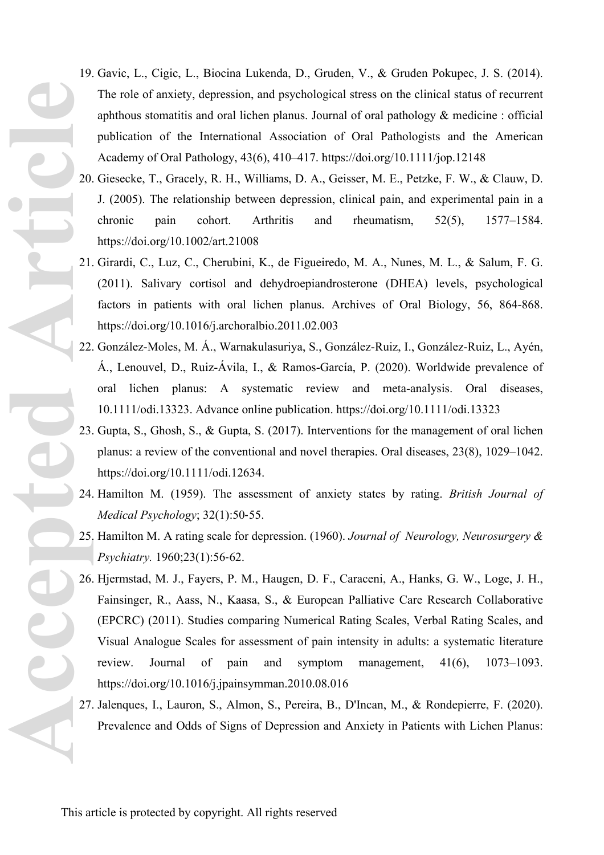- 19. Gavic, L., Cigic, L., Biocina Lukenda, D., Gruden, V., & Gruden Pokupec, J. S. (2014). The role of anxiety, depression, and psychological stress on the clinical status of recurrent aphthous stomatitis and oral lichen planus. Journal of oral pathology & medicine : official publication of the International Association of Oral Pathologists and the American Academy of Oral Pathology, 43(6), 410–417. https://doi.org/10.1111/jop.12148
- 20. Giesecke, T., Gracely, R. H., Williams, D. A., Geisser, M. E., Petzke, F. W., & Clauw, D. J. (2005). The relationship between depression, clinical pain, and experimental pain in a chronic pain cohort. Arthritis and rheumatism, 52(5), 1577–1584. https://doi.org/10.1002/art.21008
- 21. Girardi, C., Luz, C., Cherubini, K., de Figueiredo, M. A., Nunes, M. L., & Salum, F. G. (2011). Salivary cortisol and dehydroepiandrosterone (DHEA) levels, psychological factors in patients with oral lichen planus. Archives of Oral Biology, 56, 864-868. https://doi.org/10.1016/j.archoralbio.2011.02.003
- 22. González-Moles, M. Á., Warnakulasuriya, S., González-Ruiz, I., González-Ruiz, L., Ayén, Á., Lenouvel, D., Ruiz-Ávila, I., & Ramos-García, P. (2020). Worldwide prevalence of oral lichen planus: A systematic review and meta-analysis. Oral diseases, 10.1111/odi.13323. Advance online publication. https://doi.org/10.1111/odi.13323
- 23. Gupta, S., Ghosh, S., & Gupta, S. (2017). Interventions for the management of oral lichen planus: a review of the conventional and novel therapies. Oral diseases, 23(8), 1029–1042. https://doi.org/10.1111/odi.12634.
- 24. Hamilton M. (1959). The assessment of anxiety states by rating. *British Journal of Medical Psychology*; 32(1):50‐55.
- 25. Hamilton M. A rating scale for depression. (1960). *Journal of Neurology, Neurosurgery & Psychiatry.* 1960;23(1):56‐62.
- 26. Hjermstad, M. J., Fayers, P. M., Haugen, D. F., Caraceni, A., Hanks, G. W., Loge, J. H., Fainsinger, R., Aass, N., Kaasa, S., & European Palliative Care Research Collaborative (EPCRC) (2011). Studies comparing Numerical Rating Scales, Verbal Rating Scales, and Visual Analogue Scales for assessment of pain intensity in adults: a systematic literature review. Journal of pain and symptom management, 41(6), 1073–1093. https://doi.org/10.1016/j.jpainsymman.2010.08.016 **Accepted** 23.<br>
Cepted 23.<br>
25.<br>
25.<br>
25.<br>
25.<br>
27.
	- 27. Jalenques, I., Lauron, S., Almon, S., Pereira, B., D'Incan, M., & Rondepierre, F. (2020). Prevalence and Odds of Signs of Depression and Anxiety in Patients with Lichen Planus: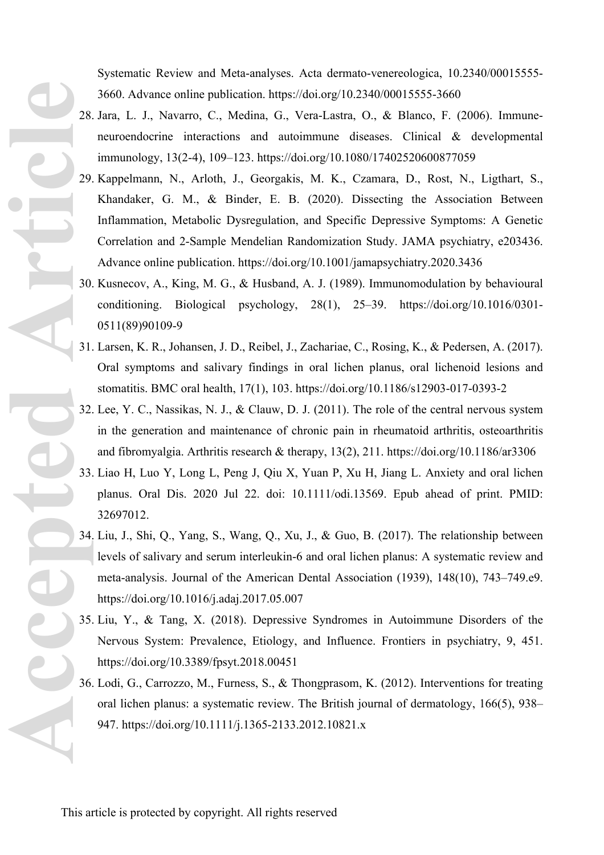Systematic Review and Meta-analyses. Acta dermato-venereologica, 10.2340/00015555- 3660. Advance online publication. https://doi.org/10.2340/00015555-3660

- 28. Jara, L. J., Navarro, C., Medina, G., Vera-Lastra, O., & Blanco, F. (2006). Immuneneuroendocrine interactions and autoimmune diseases. Clinical & developmental immunology, 13(2-4), 109–123. https://doi.org/10.1080/17402520600877059
- 29. Kappelmann, N., Arloth, J., Georgakis, M. K., Czamara, D., Rost, N., Ligthart, S., Khandaker, G. M., & Binder, E. B. (2020). Dissecting the Association Between Inflammation, Metabolic Dysregulation, and Specific Depressive Symptoms: A Genetic Correlation and 2-Sample Mendelian Randomization Study. JAMA psychiatry, e203436. Advance online publication. https://doi.org/10.1001/jamapsychiatry.2020.3436
- 30. Kusnecov, A., King, M. G., & Husband, A. J. (1989). Immunomodulation by behavioural conditioning. Biological psychology, 28(1), 25–39. https://doi.org/10.1016/0301- 0511(89)90109-9
- 31. Larsen, K. R., Johansen, J. D., Reibel, J., Zachariae, C., Rosing, K., & Pedersen, A. (2017). Oral symptoms and salivary findings in oral lichen planus, oral lichenoid lesions and stomatitis. BMC oral health, 17(1), 103. https://doi.org/10.1186/s12903-017-0393-2
- 32. Lee, Y. C., Nassikas, N. J., & Clauw, D. J. (2011). The role of the central nervous system in the generation and maintenance of chronic pain in rheumatoid arthritis, osteoarthritis and fibromyalgia. Arthritis research & therapy, 13(2), 211. https://doi.org/10.1186/ar3306
- 33. Liao H, Luo Y, Long L, Peng J, Qiu X, Yuan P, Xu H, Jiang L. Anxiety and oral lichen planus. Oral Dis. 2020 Jul 22. doi: 10.1111/odi.13569. Epub ahead of print. PMID: 32697012.
- 34. Liu, J., Shi, Q., Yang, S., Wang, Q., Xu, J., & Guo, B. (2017). The relationship between levels of salivary and serum interleukin-6 and oral lichen planus: A systematic review and meta-analysis. Journal of the American Dental Association (1939), 148(10), 743–749.e9. https://doi.org/10.1016/j.adaj.2017.05.007 **Accepted Article**
	- 35. Liu, Y., & Tang, X. (2018). Depressive Syndromes in Autoimmune Disorders of the Nervous System: Prevalence, Etiology, and Influence. Frontiers in psychiatry, 9, 451. https://doi.org/10.3389/fpsyt.2018.00451
	- 36. Lodi, G., Carrozzo, M., Furness, S., & Thongprasom, K. (2012). Interventions for treating oral lichen planus: a systematic review. The British journal of dermatology, 166(5), 938– 947. https://doi.org/10.1111/j.1365-2133.2012.10821.x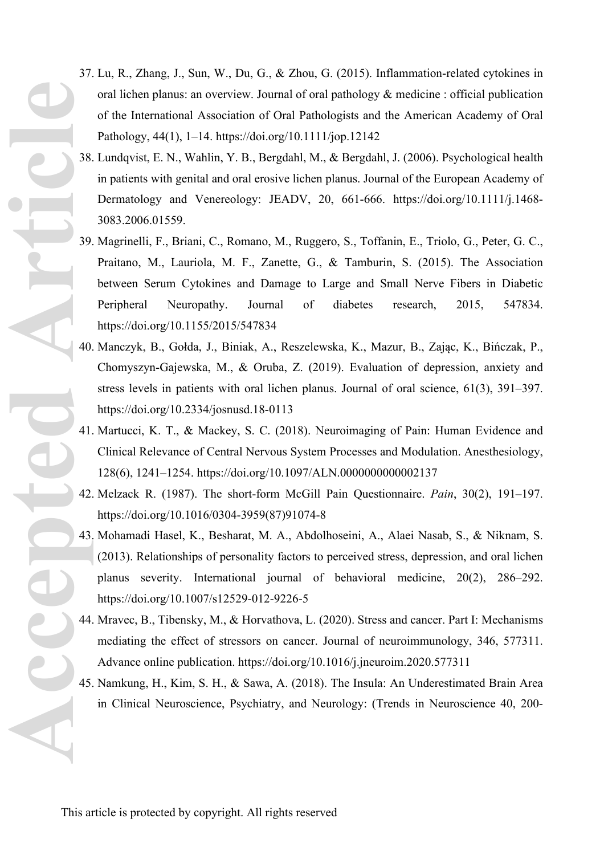- 37. Lu, R., Zhang, J., Sun, W., Du, G., & Zhou, G. (2015). Inflammation-related cytokines in oral lichen planus: an overview. Journal of oral pathology & medicine : official publication of the International Association of Oral Pathologists and the American Academy of Oral Pathology, 44(1), 1–14. https://doi.org/10.1111/jop.12142
- 38. Lundqvist, E. N., Wahlin, Y. B., Bergdahl, M., & Bergdahl, J. (2006). Psychological health in patients with genital and oral erosive lichen planus. Journal of the European Academy of Dermatology and Venereology: JEADV, 20, 661-666. https://doi.org/10.1111/j.1468- 3083.2006.01559.
- 39. Magrinelli, F., Briani, C., Romano, M., Ruggero, S., Toffanin, E., Triolo, G., Peter, G. C., Praitano, M., Lauriola, M. F., Zanette, G., & Tamburin, S. (2015). The Association between Serum Cytokines and Damage to Large and Small Nerve Fibers in Diabetic Peripheral Neuropathy. Journal of diabetes research, 2015, 547834. https://doi.org/10.1155/2015/547834 **ACCEPTED** 42.
	- 40. Manczyk, B., Gołda, J., Biniak, A., Reszelewska, K., Mazur, B., Zając, K., Bińczak, P., Chomyszyn-Gajewska, M., & Oruba, Z. (2019). Evaluation of depression, anxiety and stress levels in patients with oral lichen planus. Journal of oral science, 61(3), 391–397. https://doi.org/10.2334/josnusd.18-0113
	- 41. Martucci, K. T., & Mackey, S. C. (2018). Neuroimaging of Pain: Human Evidence and Clinical Relevance of Central Nervous System Processes and Modulation. Anesthesiology, 128(6), 1241–1254. https://doi.org/10.1097/ALN.0000000000002137
	- 42. Melzack R. (1987). The short-form McGill Pain Questionnaire. *Pain*, 30(2), 191–197. https://doi.org/10.1016/0304-3959(87)91074-8
	- 43. Mohamadi Hasel, K., Besharat, M. A., Abdolhoseini, A., Alaei Nasab, S., & Niknam, S. (2013). Relationships of personality factors to perceived stress, depression, and oral lichen planus severity. International journal of behavioral medicine, 20(2), 286–292. https://doi.org/10.1007/s12529-012-9226-5
	- 44. Mravec, B., Tibensky, M., & Horvathova, L. (2020). Stress and cancer. Part I: Mechanisms mediating the effect of stressors on cancer. Journal of neuroimmunology, 346, 577311. Advance online publication. https://doi.org/10.1016/j.jneuroim.2020.577311
	- 45. Namkung, H., Kim, S. H., & Sawa, A. (2018). The Insula: An Underestimated Brain Area in Clinical Neuroscience, Psychiatry, and Neurology: (Trends in Neuroscience 40, 200-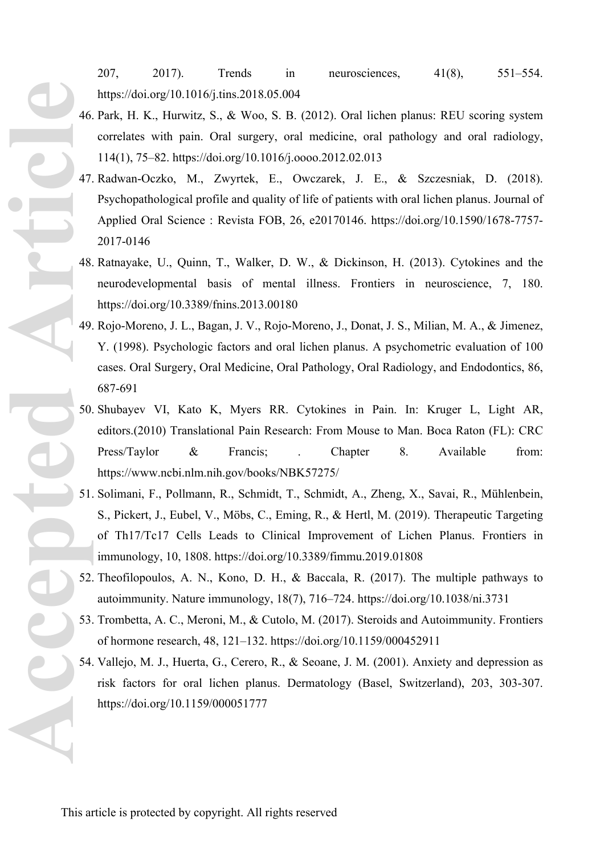207, 2017). Trends in neurosciences, 41(8), 551–554. https://doi.org/10.1016/j.tins.2018.05.004

- 46. Park, H. K., Hurwitz, S., & Woo, S. B. (2012). Oral lichen planus: REU scoring system correlates with pain. Oral surgery, oral medicine, oral pathology and oral radiology, 114(1), 75–82. https://doi.org/10.1016/j.oooo.2012.02.013
- 47. Radwan-Oczko, M., Zwyrtek, E., Owczarek, J. E., & Szczesniak, D. (2018). Psychopathological profile and quality of life of patients with oral lichen planus. Journal of Applied Oral Science : Revista FOB, 26, e20170146. https://doi.org/10.1590/1678-7757- 2017-0146
- 48. Ratnayake, U., Quinn, T., Walker, D. W., & Dickinson, H. (2013). Cytokines and the neurodevelopmental basis of mental illness. Frontiers in neuroscience, 7, 180. https://doi.org/10.3389/fnins.2013.00180
- 49. Rojo-Moreno, J. L., Bagan, J. V., Rojo-Moreno, J., Donat, J. S., Milian, M. A., & Jimenez, Y. (1998). Psychologic factors and oral lichen planus. A psychometric evaluation of 100 cases. Oral Surgery, Oral Medicine, Oral Pathology, Oral Radiology, and Endodontics, 86, 687-691
- 50. Shubayev VI, Kato K, Myers RR. Cytokines in Pain. In: Kruger L, Light AR, editors.(2010) Translational Pain Research: From Mouse to Man. Boca Raton (FL): CRC Press/Taylor & Francis; . Chapter 8. Available from: https://www.ncbi.nlm.nih.gov/books/NBK57275/ **Accepted Article**
	- 51. Solimani, F., Pollmann, R., Schmidt, T., Schmidt, A., Zheng, X., Savai, R., Mühlenbein, S., Pickert, J., Eubel, V., Möbs, C., Eming, R., & Hertl, M. (2019). Therapeutic Targeting of Th17/Tc17 Cells Leads to Clinical Improvement of Lichen Planus. Frontiers in immunology, 10, 1808. https://doi.org/10.3389/fimmu.2019.01808
	- 52. Theofilopoulos, A. N., Kono, D. H., & Baccala, R. (2017). The multiple pathways to autoimmunity. Nature immunology, 18(7), 716–724. https://doi.org/10.1038/ni.3731
	- 53. Trombetta, A. C., Meroni, M., & Cutolo, M. (2017). Steroids and Autoimmunity. Frontiers of hormone research, 48, 121–132. https://doi.org/10.1159/000452911
	- 54. Vallejo, M. J., Huerta, G., Cerero, R., & Seoane, J. M. (2001). Anxiety and depression as risk factors for oral lichen planus. Dermatology (Basel, Switzerland), 203, 303-307. https://doi.org/10.1159/000051777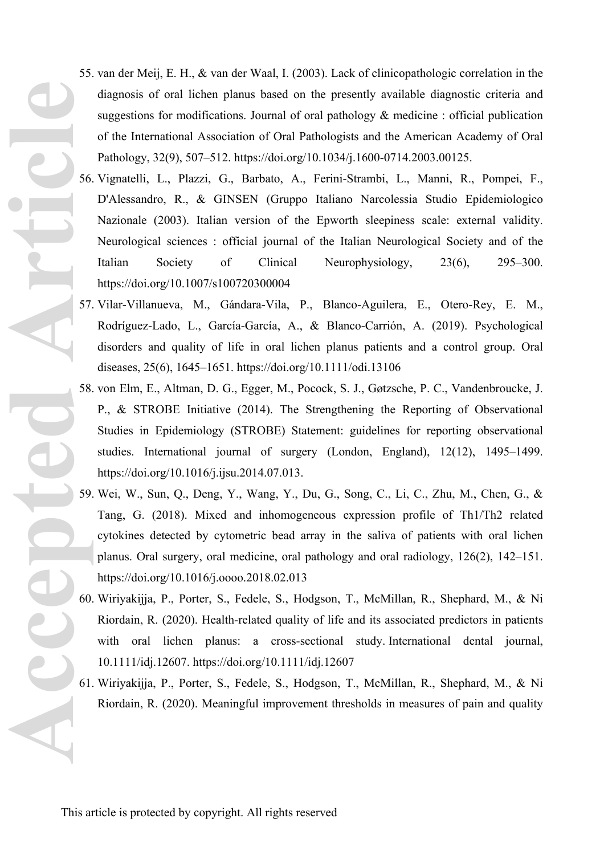- 55. van der Meij, E. H., & van der Waal, I. (2003). Lack of clinicopathologic correlation in the diagnosis of oral lichen planus based on the presently available diagnostic criteria and suggestions for modifications. Journal of oral pathology & medicine : official publication of the International Association of Oral Pathologists and the American Academy of Oral Pathology, 32(9), 507–512. https://doi.org/10.1034/j.1600-0714.2003.00125.
- 56. Vignatelli, L., Plazzi, G., Barbato, A., Ferini-Strambi, L., Manni, R., Pompei, F., D'Alessandro, R., & GINSEN (Gruppo Italiano Narcolessia Studio Epidemiologico Nazionale (2003). Italian version of the Epworth sleepiness scale: external validity. Neurological sciences : official journal of the Italian Neurological Society and of the Italian Society of Clinical Neurophysiology, 23(6), 295–300. https://doi.org/10.1007/s100720300004
- 57. Vilar-Villanueva, M., Gándara-Vila, P., Blanco-Aguilera, E., Otero-Rey, E. M., Rodríguez-Lado, L., García-García, A., & Blanco-Carrión, A. (2019). Psychological disorders and quality of life in oral lichen planus patients and a control group. Oral diseases, 25(6), 1645–1651.<https://doi.org/10.1111/odi.13106>
- 58. von Elm, E., Altman, D. G., Egger, M., Pocock, S. J., Gøtzsche, P. C., Vandenbroucke, J. P., & STROBE Initiative (2014). The Strengthening the Reporting of Observational Studies in Epidemiology (STROBE) Statement: guidelines for reporting observational studies. International journal of surgery (London, England), 12(12), 1495–1499. https://doi.org/10.1016/j.ijsu.2014.07.013.
- 59. Wei, W., Sun, Q., Deng, Y., Wang, Y., Du, G., Song, C., Li, C., Zhu, M., Chen, G., & Tang, G. (2018). Mixed and inhomogeneous expression profile of Th1/Th2 related cytokines detected by cytometric bead array in the saliva of patients with oral lichen planus. Oral surgery, oral medicine, oral pathology and oral radiology, 126(2), 142–151. <https://doi.org/10.1016/j.oooo.2018.02.013> Accepted Articl<sup>es</sup>
	- 60. Wiriyakijja, P., Porter, S., Fedele, S., Hodgson, T., McMillan, R., Shephard, M., & Ni Riordain, R. (2020). Health-related quality of life and its associated predictors in patients with oral lichen planus: a cross-sectional study. International dental journal, 10.1111/idj.12607. https://doi.org/10.1111/idj.12607
	- 61. Wiriyakijja, P., Porter, S., Fedele, S., Hodgson, T., McMillan, R., Shephard, M., & Ni Riordain, R. (2020). Meaningful improvement thresholds in measures of pain and quality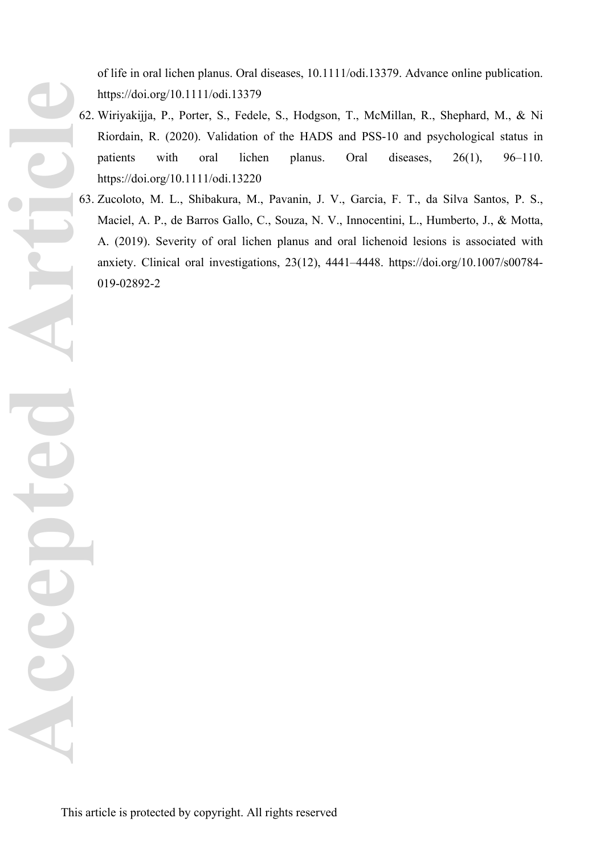of life in oral lichen planus. Oral diseases, 10.1111/odi.13379. Advance online publication. https://doi.org/10.1111/odi.13379

- 62. Wiriyakijja, P., Porter, S., Fedele, S., Hodgson, T., McMillan, R., Shephard, M., & Ni Riordain, R. (2020). Validation of the HADS and PSS-10 and psychological status in patients with oral lichen planus. Oral diseases, 26(1), 96–110. https://doi.org/10.1111/odi.13220
- 63. Zucoloto, M. L., Shibakura, M., Pavanin, J. V., Garcia, F. T., da Silva Santos, P. S., Maciel, A. P., de Barros Gallo, C., Souza, N. V., Innocentini, L., Humberto, J., & Motta, A. (2019). Severity of oral lichen planus and oral lichenoid lesions is associated with anxiety. Clinical oral investigations, 23(12), 4441–4448. https://doi.org/10.1007/s00784- 019-02892-2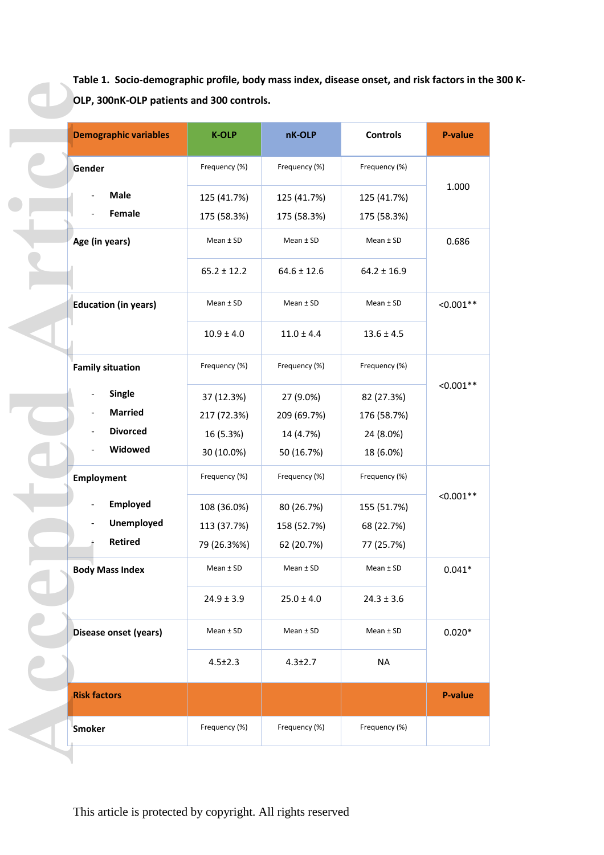**Table 1. Socio-demographic profile, body mass index, disease onset, and risk factors in the 300 K-OLP, 300nK-OLP patients and 300 controls.** 

| <b>Demographic variables</b> | <b>K-OLP</b>    | nK-OLP          | <b>Controls</b> |
|------------------------------|-----------------|-----------------|-----------------|
| Gender                       | Frequency (%)   | Frequency (%)   | Frequency (%)   |
| <b>Male</b>                  | 125 (41.7%)     | 125 (41.7%)     | 125 (41.7%)     |
| Female                       | 175 (58.3%)     | 175 (58.3%)     | 175 (58.3%)     |
| Age (in years)               | $Mean \pm SD$   | $Mean \pm SD$   | $Mean \pm SD$   |
|                              | $65.2 \pm 12.2$ | $64.6 \pm 12.6$ | $64.2 \pm 16.9$ |
| <b>Education (in years)</b>  | $Mean \pm SD$   | $Mean \pm SD$   | $Mean \pm SD$   |
|                              | $10.9 \pm 4.0$  | $11.0 \pm 4.4$  | $13.6 \pm 4.5$  |
| <b>Family situation</b>      | Frequency (%)   | Frequency (%)   | Frequency (%)   |
| <b>Single</b>                | 37 (12.3%)      | 27 (9.0%)       | 82 (27.3%)      |
| <b>Married</b>               | 217 (72.3%)     | 209 (69.7%)     | 176 (58.7%)     |
| <b>Divorced</b>              | 16 (5.3%)       | 14 (4.7%)       | 24 (8.0%)       |
| Widowed                      | 30 (10.0%)      | 50 (16.7%)      | 18 (6.0%)       |
| Employment                   | Frequency (%)   | Frequency (%)   | Frequency (%)   |
| Employed                     | 108 (36.0%)     | 80 (26.7%)      | 155 (51.7%)     |
| Unemployed                   | 113 (37.7%)     | 158 (52.7%)     | 68 (22.7%)      |
| <b>Retired</b>               | 79 (26.3%%)     | 62 (20.7%)      | 77 (25.7%)      |
| <b>Body Mass Index</b>       | $Mean \pm SD$   | $Mean \pm SD$   | $Mean \pm SD$   |
|                              | $24.9 \pm 3.9$  | $25.0 \pm 4.0$  | $24.3 \pm 3.6$  |
| Disease onset (years)        | $Mean \pm SD$   | Mean $±$ SD     | Mean $±$ SD     |
|                              | $4.5 \pm 2.3$   | $4.3 \pm 2.7$   | <b>NA</b>       |
| <b>Risk factors</b>          |                 |                 |                 |
| <b>Smoker</b>                | Frequency (%)   | Frequency (%)   | Frequency (%)   |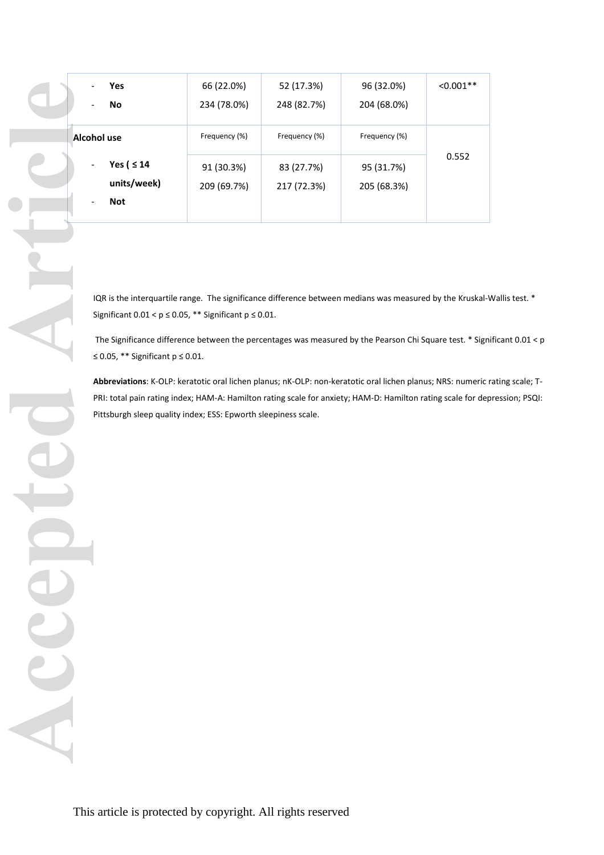|              | Yes                                                                                                         | 66 (22.0%)    | 52 (17.3%)    | 96 (32.0%)    | $< 0.001**$ |
|--------------|-------------------------------------------------------------------------------------------------------------|---------------|---------------|---------------|-------------|
|              | ${\sf No}$                                                                                                  | 234 (78.0%)   | 248 (82.7%)   | 204 (68.0%)   |             |
|              |                                                                                                             |               |               |               |             |
|              | Alcohol use                                                                                                 | Frequency (%) | Frequency (%) | Frequency (%) |             |
|              |                                                                                                             |               |               |               | 0.552       |
|              | Yes ( ≤ 14                                                                                                  | 91 (30.3%)    | 83 (27.7%)    | 95 (31.7%)    |             |
|              | units/week)                                                                                                 | 209 (69.7%)   | 217 (72.3%)   | 205 (68.3%)   |             |
|              | <b>Not</b>                                                                                                  |               |               |               |             |
|              |                                                                                                             |               |               |               |             |
|              |                                                                                                             |               |               |               |             |
|              |                                                                                                             |               |               |               |             |
|              |                                                                                                             |               |               |               |             |
|              | IQR is the interquartile range. The significance difference between medians was measured by the Kruskal-    |               |               |               |             |
|              | Significant $0.01 < p \le 0.05$ , ** Significant $p \le 0.01$ .                                             |               |               |               |             |
|              |                                                                                                             |               |               |               |             |
|              | The Significance difference between the percentages was measured by the Pearson Chi Square test. * Sign     |               |               |               |             |
|              | $\leq$ 0.05, ** Significant p $\leq$ 0.01.                                                                  |               |               |               |             |
|              | Abbreviations: K-OLP: keratotic oral lichen planus; nK-OLP: non-keratotic oral lichen planus; NRS: numeric  |               |               |               |             |
|              | PRI: total pain rating index; HAM-A: Hamilton rating scale for anxiety; HAM-D: Hamilton rating scale for de |               |               |               |             |
|              | Pittsburgh sleep quality index; ESS: Epworth sleepiness scale.                                              |               |               |               |             |
|              |                                                                                                             |               |               |               |             |
|              |                                                                                                             |               |               |               |             |
|              |                                                                                                             |               |               |               |             |
|              |                                                                                                             |               |               |               |             |
|              |                                                                                                             |               |               |               |             |
|              |                                                                                                             |               |               |               |             |
|              |                                                                                                             |               |               |               |             |
|              |                                                                                                             |               |               |               |             |
|              |                                                                                                             |               |               |               |             |
|              |                                                                                                             |               |               |               |             |
|              |                                                                                                             |               |               |               |             |
| $\mathbf{c}$ |                                                                                                             |               |               |               |             |
|              |                                                                                                             |               |               |               |             |
|              |                                                                                                             |               |               |               |             |
|              |                                                                                                             |               |               |               |             |
|              |                                                                                                             |               |               |               |             |
|              |                                                                                                             |               |               |               |             |
|              |                                                                                                             |               |               |               |             |
|              |                                                                                                             |               |               |               |             |

IQR is the interquartile range. The significance difference between medians was measured by the Kruskal-Wallis test. \* Significant  $0.01 < p \leq 0.05$ , \*\* Significant  $p \leq 0.01$ .

 The Significance difference between the percentages was measured by the Pearson Chi Square test. \* Significant 0.01 < p ≤ 0.05, \*\* Significant p ≤ 0.01.

**Abbreviations**: K-OLP: keratotic oral lichen planus; nK-OLP: non-keratotic oral lichen planus; NRS: numeric rating scale; T-PRI: total pain rating index; HAM-A: Hamilton rating scale for anxiety; HAM-D: Hamilton rating scale for depression; PSQI: Pittsburgh sleep quality index; ESS: Epworth sleepiness scale.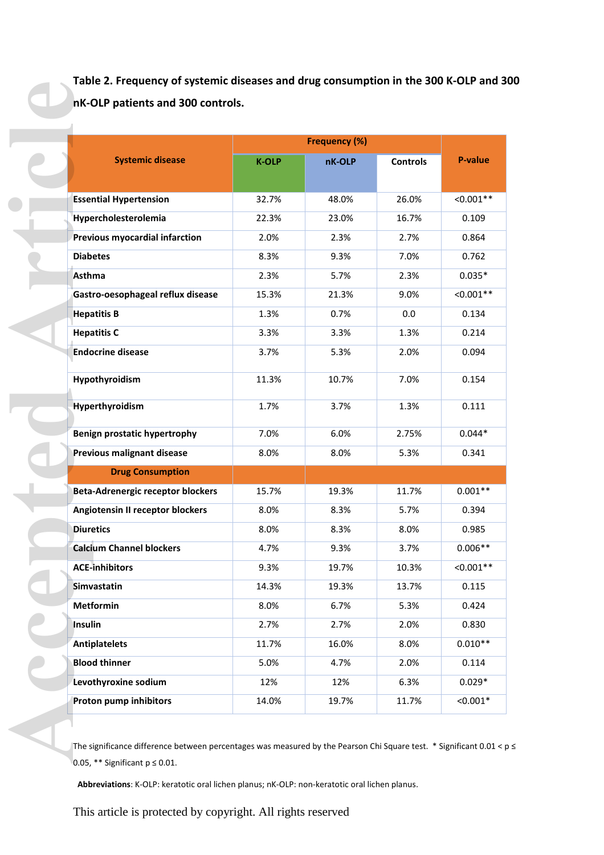**Table 2. Frequency of systemic diseases and drug consumption in the 300 K-OLP and 300 nK-OLP patients and 300 controls.** 

|                                          |              | <b>Frequency (%)</b> |                 |             |
|------------------------------------------|--------------|----------------------|-----------------|-------------|
| <b>Systemic disease</b>                  | <b>K-OLP</b> | nK-OLP               | <b>Controls</b> | P-value     |
| <b>Essential Hypertension</b>            | 32.7%        | 48.0%                | 26.0%           | $< 0.001**$ |
| Hypercholesterolemia                     | 22.3%        | 23.0%                | 16.7%           | 0.109       |
| Previous myocardial infarction           | 2.0%         | 2.3%                 | 2.7%            | 0.864       |
| <b>Diabetes</b>                          | 8.3%         | 9.3%                 | 7.0%            | 0.762       |
| <b>Asthma</b>                            | 2.3%         | 5.7%                 | 2.3%            | $0.035*$    |
| Gastro-oesophageal reflux disease        | 15.3%        | 21.3%                | 9.0%            | $< 0.001**$ |
| <b>Hepatitis B</b>                       | 1.3%         | 0.7%                 | 0.0             | 0.134       |
| <b>Hepatitis C</b>                       | 3.3%         | 3.3%                 | 1.3%            | 0.214       |
| <b>Endocrine disease</b>                 | 3.7%         | 5.3%                 | 2.0%            | 0.094       |
|                                          |              |                      |                 |             |
| Hypothyroidism                           | 11.3%        | 10.7%                | 7.0%            | 0.154       |
| <b>Hyperthyroidism</b>                   | 1.7%         | 3.7%                 | 1.3%            | 0.111       |
| Benign prostatic hypertrophy             | 7.0%         | 6.0%                 | 2.75%           | $0.044*$    |
| <b>Previous malignant disease</b>        | 8.0%         | 8.0%                 | 5.3%            | 0.341       |
| <b>Drug Consumption</b>                  |              |                      |                 |             |
| <b>Beta-Adrenergic receptor blockers</b> | 15.7%        | 19.3%                | 11.7%           | $0.001**$   |
| Angiotensin II receptor blockers         | 8.0%         | 8.3%                 | 5.7%            | 0.394       |
| <b>Diuretics</b>                         | 8.0%         | 8.3%                 | 8.0%            | 0.985       |
| <b>Calcium Channel blockers</b>          | 4.7%         | 9.3%                 | 3.7%            | $0.006**$   |
| <b>ACE-inhibitors</b>                    | 9.3%         | 19.7%                | 10.3%           | $< 0.001**$ |
| Simvastatin                              | 14.3%        | 19.3%                | 13.7%           | 0.115       |
| <b>Metformin</b>                         | 8.0%         | 6.7%                 | 5.3%            | 0.424       |
| Insulin                                  | 2.7%         | 2.7%                 | 2.0%            | 0.830       |
| <b>Antiplatelets</b>                     | 11.7%        | 16.0%                | 8.0%            | $0.010**$   |
| <b>Blood thinner</b>                     | 5.0%         | 4.7%                 | 2.0%            | 0.114       |
| Levothyroxine sodium                     | 12%          | 12%                  | 6.3%            | $0.029*$    |
| Proton pump inhibitors                   | 14.0%        | 19.7%                | 11.7%           | $< 0.001*$  |

The significance difference between percentages was measured by the Pearson Chi Square test. \* Significant 0.01 < p ≤ 0.05, \*\* Significant p ≤ 0.01.

**Abbreviations**: K-OLP: keratotic oral lichen planus; nK-OLP: non-keratotic oral lichen planus.

This article is protected by copyright. All rights reserved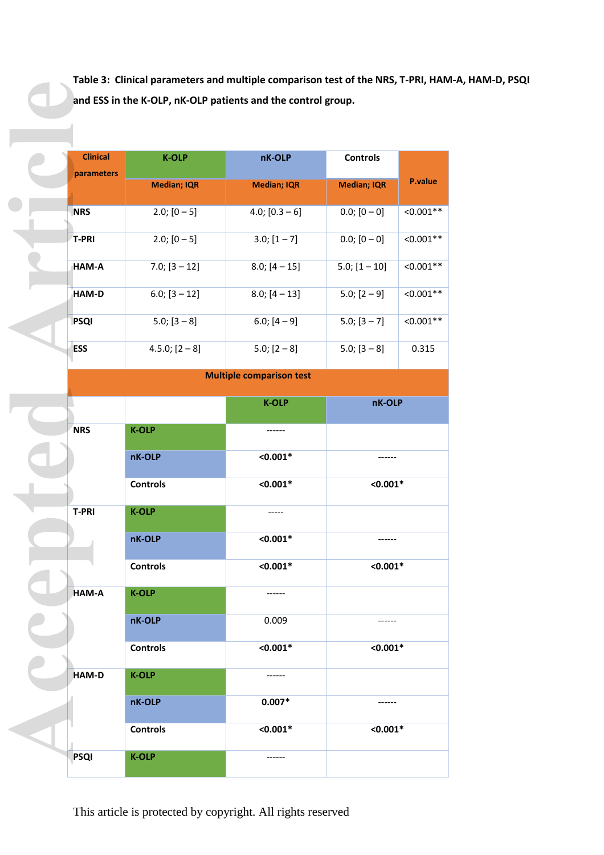**Table 3: Clinical parameters and multiple comparison test of the NRS, T‐PRI, HAM‐A, HAM‐D, PSQI and ESS in the K-OLP, nK-OLP patients and the control group.** 

| <b>Clinical</b> |                    |                                 |                    |                |
|-----------------|--------------------|---------------------------------|--------------------|----------------|
|                 | <b>K-OLP</b>       | nK-OLP                          | <b>Controls</b>    |                |
| parameters      |                    |                                 |                    |                |
|                 | <b>Median; IQR</b> | <b>Median; IQR</b>              | <b>Median; IQR</b> | <b>P.value</b> |
| <b>NRS</b>      | $2.0$ ; $[0 - 5]$  | $4.0; [0.3 - 6]$                | $0.0; [0 - 0]$     | $< 0.001**$    |
| <b>T-PRI</b>    | $2.0$ ; $[0 - 5]$  | $3.0; [1 - 7]$                  | $0.0; [0 - 0]$     | $< 0.001**$    |
| HAM-A           | $7.0; [3 - 12]$    | $8.0$ ; [4 - 15]                | $5.0$ ; $[1 - 10]$ | $< 0.001**$    |
| HAM-D           | $6.0; [3 - 12]$    | $8.0; [4 - 13]$                 | $5.0; [2 - 9]$     | $< 0.001**$    |
| <b>PSQI</b>     | $5.0$ ; $[3 - 8]$  | $6.0; [4 - 9]$                  | $5.0$ ; $[3 - 7]$  | $< 0.001**$    |
| <b>ESS</b>      | $4.5.0; [2-8]$     | $5.0; [2 - 8]$                  | $5.0; [3 - 8]$     | 0.315          |
|                 |                    | <b>Multiple comparison test</b> |                    |                |

| <b>Clinical</b> | <b>K-OLP</b>       | nK-OLP                          | <b>Controls</b>    |
|-----------------|--------------------|---------------------------------|--------------------|
| parameters      | <b>Median; IQR</b> | <b>Median; IQR</b>              | <b>Median; IQR</b> |
| <b>NRS</b>      | $2.0; [0-5]$       | $4.0; [0.3 - 6]$                | $0.0; [0 - 0]$     |
| <b>T-PRI</b>    | $2.0; [0-5]$       | $3.0; [1 - 7]$                  | $0.0; [0 - 0]$     |
| HAM-A           | $7.0; [3 - 12]$    | $8.0; [4 - 15]$                 | $5.0; [1 - 10]$    |
| HAM-D           | $6.0; [3 - 12]$    | $8.0; [4 - 13]$                 | $5.0; [2 - 9]$     |
| <b>PSQI</b>     | $5.0; [3 - 8]$     | 6.0; $[4 - 9]$                  | $5.0; [3 - 7]$     |
| <b>ESS</b>      | $4.5.0; [2-8]$     | $5.0; [2-8]$                    | $5.0; [3 - 8]$     |
|                 |                    | <b>Multiple comparison test</b> |                    |
|                 |                    | <b>K-OLP</b>                    | nK-OLP             |
| <b>NRS</b>      | <b>K-OLP</b>       |                                 |                    |
|                 | nK-OLP             | $< 0.001*$                      |                    |
|                 | <b>Controls</b>    | $< 0.001*$                      | $< 0.001*$         |
| <b>T-PRI</b>    | <b>K-OLP</b>       |                                 |                    |
|                 | nK-OLP             | $< 0.001*$                      |                    |
|                 | <b>Controls</b>    | $< 0.001*$                      | $< 0.001*$         |
| HAM-A           | <b>K-OLP</b>       |                                 |                    |
|                 | nK-OLP             | 0.009                           |                    |
|                 | <b>Controls</b>    | $< 0.001*$                      | $< 0.001*$         |
|                 |                    |                                 |                    |
| <b>HAM-D</b>    | <b>K-OLP</b>       |                                 |                    |
|                 | nK-OLP             | $0.007*$                        |                    |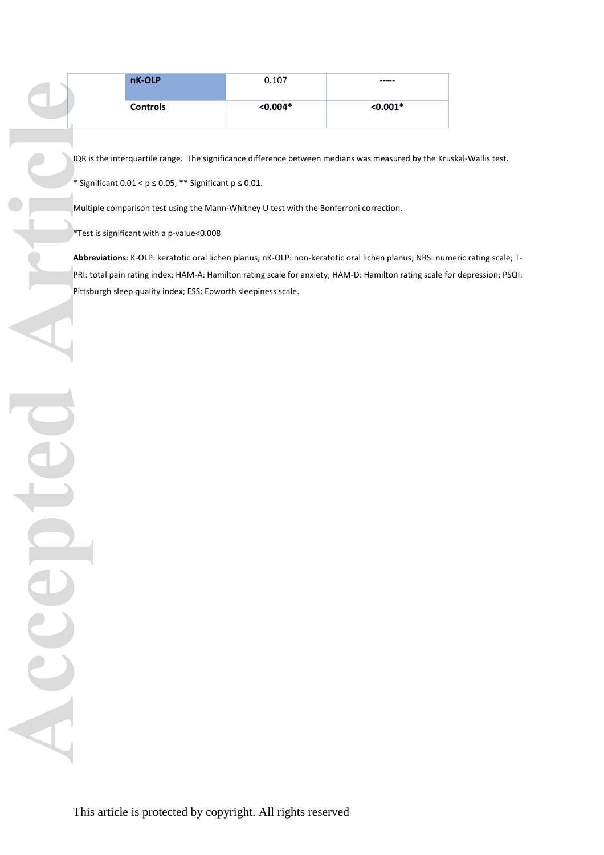| nK-OLP          | 0.107      | -----      |
|-----------------|------------|------------|
| <b>Controls</b> | $< 0.004*$ | $< 0.001*$ |

IQR is the interquartile range. The significance difference between medians was measured by the Kruskal-Wallis test.

\* Significant  $0.01 < p \leq 0.05$ , \*\* Significant  $p \leq 0.01$ .

Multiple comparison test using the Mann-Whitney U test with the Bonferroni correction.

\*Test is significant with a p-value<0.008

**Abbreviations**: K-OLP: keratotic oral lichen planus; nK-OLP: non-keratotic oral lichen planus; NRS: numeric rating scale; T-PRI: total pain rating index; HAM-A: Hamilton rating scale for anxiety; HAM-D: Hamilton rating scale for depression; PSQI: Pittsburgh sleep quality index; ESS: Epworth sleepiness scale.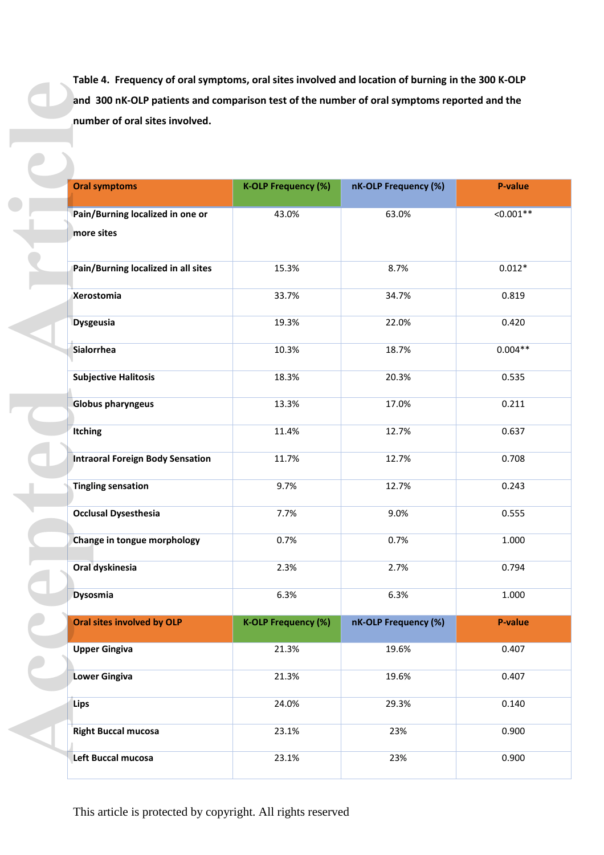**Table 4. Frequency of oral symptoms, oral sites involved and location of burning in the 300 K-OLP and 300 nK-OLP patients and comparison test of the number of oral symptoms reported and the number of oral sites involved.**

| number of oral sites involved.                 |                            |                      |             |
|------------------------------------------------|----------------------------|----------------------|-------------|
|                                                |                            |                      |             |
| <b>Oral symptoms</b>                           | <b>K-OLP Frequency (%)</b> | nK-OLP Frequency (%) | P-value     |
| Pain/Burning localized in one or<br>more sites | 43.0%                      | 63.0%                | $< 0.001**$ |
| Pain/Burning localized in all sites            | 15.3%                      | 8.7%                 | $0.012*$    |
| Xerostomia                                     | 33.7%                      | 34.7%                | 0.819       |
| <b>Dysgeusia</b>                               | 19.3%                      | 22.0%                | 0.420       |
| Sialorrhea                                     | 10.3%                      | 18.7%                | $0.004**$   |
| <b>Subjective Halitosis</b>                    | 18.3%                      | 20.3%                | 0.535       |
| <b>Globus pharyngeus</b>                       | 13.3%                      | 17.0%                | 0.211       |
| Itching                                        | 11.4%                      | 12.7%                | 0.637       |
| <b>Intraoral Foreign Body Sensation</b>        | 11.7%                      | 12.7%                | 0.708       |
| <b>Tingling sensation</b>                      | 9.7%                       | 12.7%                | 0.243       |
| <b>Occlusal Dysesthesia</b>                    | 7.7%                       | 9.0%                 | 0.555       |
| Change in tongue morphology                    | 0.7%                       | 0.7%                 | 1.000       |
| Oral dyskinesia                                | 2.3%                       | 2.7%                 | 0.794       |
| <b>Dysosmia</b>                                | 6.3%                       | 6.3%                 | 1.000       |
| Oral sites involved by OLP                     | <b>K-OLP Frequency (%)</b> | nK-OLP Frequency (%) | P-value     |
| <b>Upper Gingiva</b>                           | 21.3%                      | 19.6%                | 0.407       |
| <b>Lower Gingiva</b>                           | 21.3%                      | 19.6%                | 0.407       |
| Lips                                           | 24.0%                      | 29.3%                | 0.140       |
| <b>Right Buccal mucosa</b>                     | 23.1%                      | 23%                  | 0.900       |
|                                                |                            |                      |             |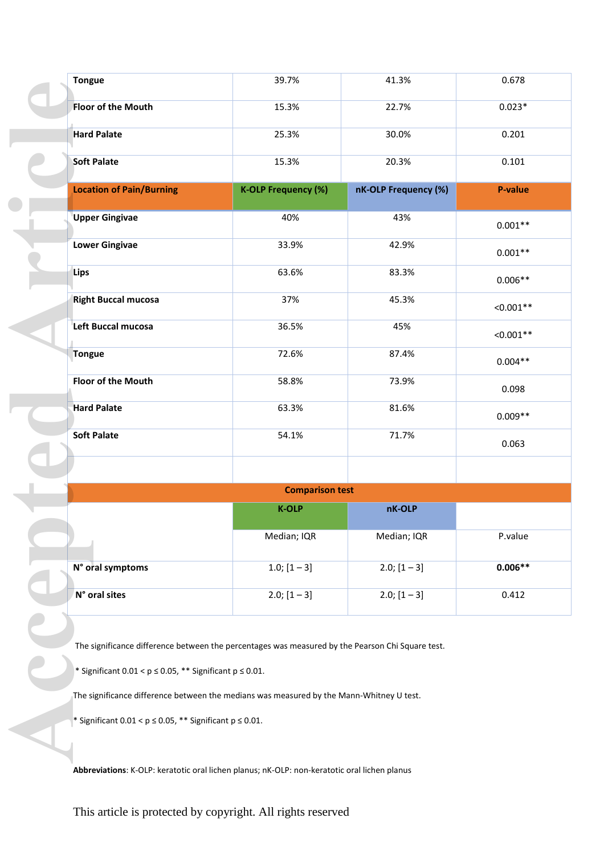| <b>Tongue</b>                   | 39.7%                      | 41.3%                | 0.678          |
|---------------------------------|----------------------------|----------------------|----------------|
| Floor of the Mouth              | 15.3%                      | 22.7%                | $0.023*$       |
| <b>Hard Palate</b>              | 25.3%                      | 30.0%                | 0.201          |
| <b>Soft Palate</b>              | 15.3%                      | 20.3%                | 0.101          |
| <b>Location of Pain/Burning</b> | <b>K-OLP Frequency (%)</b> | nK-OLP Frequency (%) | <b>P-value</b> |
| <b>Upper Gingivae</b>           | 40%                        | 43%                  | $0.001**$      |
| <b>Lower Gingivae</b>           | 33.9%                      | 42.9%                | $0.001**$      |
| Lips                            | 63.6%                      | 83.3%                | $0.006**$      |
| <b>Right Buccal mucosa</b>      | 37%                        | 45.3%                | $< 0.001**$    |
| Left Buccal mucosa              | 36.5%                      | 45%                  | $< 0.001**$    |
| <b>Tongue</b>                   | 72.6%                      | 87.4%                | $0.004**$      |
| Floor of the Mouth              | 58.8%                      | 73.9%                | 0.098          |
| <b>Hard Palate</b>              | 63.3%                      | 81.6%                | $0.009**$      |
| <b>Soft Palate</b>              | 54.1%                      | 71.7%                | 0.063          |
|                                 | <b>Comparison test</b>     |                      |                |
|                                 | <b>K-OLP</b>               | nK-OLP               |                |
|                                 | Median; IQR                | Median; IQR          | P.value        |
| N° oral symptoms                | 1.0; $[1 - 3]$             | $2.0; [1 - 3]$       | $0.006**$      |
| N° oral sites                   | $2.0; [1 - 3]$             | $2.0; [1 - 3]$       | 0.412          |
|                                 |                            |                      |                |

**Abbreviations**: K-OLP: keratotic oral lichen planus; nK-OLP: non-keratotic oral lichen planus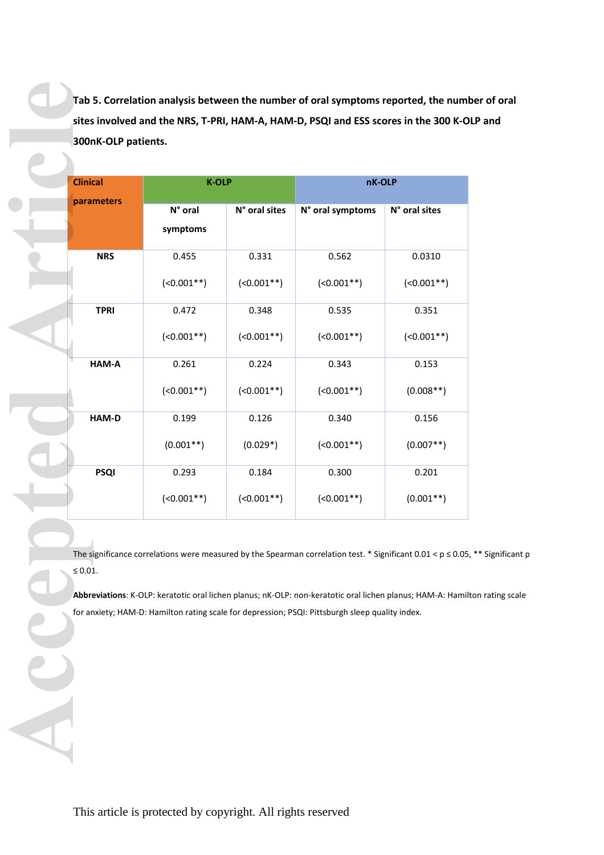**Tab 5. Correlation analysis between the number of oral symptoms reported, the number of oral sites involved and the NRS, T-PRI, HAM-A, HAM-D, PSQI and ESS scores in the 300 K-OLP and 300nK-OLP patients.** 

| <b>Clinical</b> |                     | <b>K-OLP</b>  | nK-OLP                                                                                                                                                                                                                                                                                                                           |               |
|-----------------|---------------------|---------------|----------------------------------------------------------------------------------------------------------------------------------------------------------------------------------------------------------------------------------------------------------------------------------------------------------------------------------|---------------|
| parameters      | N° oral<br>symptoms | N° oral sites | N° oral symptoms                                                                                                                                                                                                                                                                                                                 | N° oral sites |
| <b>NRS</b>      | 0.455               | 0.331         | 0.562                                                                                                                                                                                                                                                                                                                            | 0.0310        |
|                 | $(<0.001**)$        | $(0.001**)$   | $(<0.001**)$                                                                                                                                                                                                                                                                                                                     | $(0.001**)$   |
| <b>TPRI</b>     | 0.472               | 0.348         | 0.535                                                                                                                                                                                                                                                                                                                            | 0.351         |
|                 | $(<0.001**)$        | $(0.001**)$   | $(0.001**)$                                                                                                                                                                                                                                                                                                                      | $(0.001**)$   |
| HAM-A           | 0.261               | 0.224         | 0.343                                                                                                                                                                                                                                                                                                                            | 0.153         |
|                 | $(0.001**)$         | $(0.001**)$   | $(<0.001**)$                                                                                                                                                                                                                                                                                                                     | $(0.008**)$   |
| HAM-D           | 0.199               | 0.126         | 0.340                                                                                                                                                                                                                                                                                                                            | 0.156         |
|                 | $(0.001**)$         | $(0.029*)$    | $(0.001**)$                                                                                                                                                                                                                                                                                                                      | $(0.007**)$   |
| <b>PSQI</b>     | 0.293               | 0.184         | 0.300                                                                                                                                                                                                                                                                                                                            | 0.201         |
|                 | $(<0.001**)$        | $(0.001**)$   | $(<0.001**)$                                                                                                                                                                                                                                                                                                                     | $(0.001**)$   |
| $\leq 0.01.$    |                     |               | The significance correlations were measured by the Spearman correlation test. * Significant 0.01 < $p \le 0.05$<br>Abbreviations: K-OLP: keratotic oral lichen planus; nK-OLP: non-keratotic oral lichen planus; HAM-A: Hamil<br>for anxiety; HAM-D: Hamilton rating scale for depression; PSQI: Pittsburgh sleep quality index. |               |

The significance correlations were measured by the Spearman correlation test. \* Significant 0.01 <  $p \le 0.05$ , \*\* Significant p ≤ 0.01.

**Abbreviations**: K-OLP: keratotic oral lichen planus; nK-OLP: non-keratotic oral lichen planus; HAM-A: Hamilton rating scale for anxiety; HAM-D: Hamilton rating scale for depression; PSQI: Pittsburgh sleep quality index.

This article is protected by copyright. All rights reserved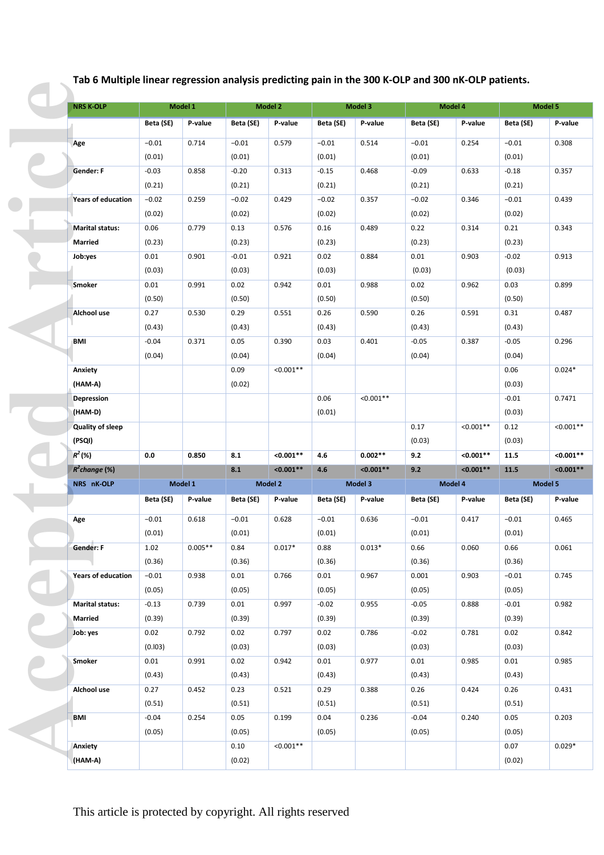**Tab 6 Multiple linear regression analysis predicting pain in the 300 K-OLP and 300 nK-OLP patients.** 

| <b>NRS K-OLP</b>          |           | Model 1   |                | <b>Model 2</b> |           | Model 3     |           | Model 4     |                | Model 5     |
|---------------------------|-----------|-----------|----------------|----------------|-----------|-------------|-----------|-------------|----------------|-------------|
|                           | Beta (SE) | P-value   | Beta (SE)      | P-value        | Beta (SE) | P-value     | Beta (SE) | P-value     | Beta (SE)      | P-value     |
| Age                       | $-0.01$   | 0.714     | $-0.01$        | 0.579          | $-0.01$   | 0.514       | $-0.01$   | 0.254       | $-0.01$        | 0.308       |
|                           | (0.01)    |           | (0.01)         |                | (0.01)    |             | (0.01)    |             | (0.01)         |             |
| Gender: F                 | $-0.03$   | 0.858     | $-0.20$        | 0.313          | $-0.15$   | 0.468       | $-0.09$   | 0.633       | $-0.18$        | 0.357       |
|                           | (0.21)    |           | (0.21)         |                | (0.21)    |             | (0.21)    |             | (0.21)         |             |
| <b>Years of education</b> | $-0.02$   | 0.259     | $-0.02$        | 0.429          | $-0.02$   | 0.357       | $-0.02$   | 0.346       | $-0.01$        | 0.439       |
|                           | (0.02)    |           | (0.02)         |                | (0.02)    |             | (0.02)    |             | (0.02)         |             |
| <b>Marital status:</b>    | 0.06      | 0.779     | 0.13           | 0.576          | 0.16      | 0.489       | 0.22      | 0.314       | 0.21           | 0.343       |
| <b>Married</b>            | (0.23)    |           | (0.23)         |                | (0.23)    |             | (0.23)    |             | (0.23)         |             |
| Job:yes                   | 0.01      | 0.901     | $-0.01$        | 0.921          | 0.02      | 0.884       | 0.01      | 0.903       | $-0.02$        | 0.913       |
|                           | (0.03)    |           | (0.03)         |                | (0.03)    |             | (0.03)    |             | (0.03)         |             |
| Smoker                    | 0.01      | 0.991     | 0.02           | 0.942          | 0.01      | 0.988       | 0.02      | 0.962       | 0.03           | 0.899       |
|                           | (0.50)    |           | (0.50)         |                | (0.50)    |             | (0.50)    |             | (0.50)         |             |
| Alchool use               | 0.27      | 0.530     | 0.29           | 0.551          | 0.26      | 0.590       | 0.26      | 0.591       | 0.31           | 0.487       |
|                           | (0.43)    |           | (0.43)         |                | (0.43)    |             | (0.43)    |             | (0.43)         |             |
|                           | $-0.04$   | 0.371     | 0.05           |                | 0.03      | 0.401       | $-0.05$   | 0.387       | $-0.05$        |             |
| BMI                       |           |           |                | 0.390          |           |             |           |             |                | 0.296       |
|                           | (0.04)    |           | (0.04)         |                | (0.04)    |             | (0.04)    |             | (0.04)         |             |
| Anxiety                   |           |           | 0.09           | $< 0.001**$    |           |             |           |             | 0.06           | $0.024*$    |
| (HAM-A)                   |           |           | (0.02)         |                |           |             |           |             | (0.03)         |             |
| <b>Depression</b>         |           |           |                |                | 0.06      | $< 0.001**$ |           |             | $-0.01$        | 0.7471      |
| (HAM-D)                   |           |           |                |                | (0.01)    |             |           |             | (0.03)         |             |
| Quality of sleep          |           |           |                |                |           |             | 0.17      | $< 0.001**$ | 0.12           | $< 0.001**$ |
| (PSQI)                    |           |           |                |                |           |             | (0.03)    |             | (0.03)         |             |
| $R^2$ (%)                 | 0.0       | 0.850     | 8.1            | $< 0.001**$    | 4.6       | $0.002**$   | 9.2       | $< 0.001**$ | 11.5           | $< 0.001**$ |
| $R^2$ change (%)          |           |           | 8.1            | $< 0.001**$    | 4.6       | $< 0.001**$ | 9.2       | $< 0.001**$ | 11.5           | $< 0.001**$ |
| NRS nK-OLP                |           | Model 1   |                | Model 2        |           | Model 3     |           | Model 4     |                | Model 5     |
|                           | Beta (SE) | P-value   | Beta (SE)      | P-value        | Beta (SE) | P-value     | Beta (SE) | P-value     | Beta (SE)      | P-value     |
| Age                       | $-0.01$   | 0.618     | $-0.01$        | 0.628          | $-0.01$   | 0.636       | $-0.01$   | 0.417       | $-0.01$        | 0.465       |
|                           | (0.01)    |           | (0.01)         |                | (0.01)    |             | (0.01)    |             | (0.01)         |             |
| <b>Gender: F</b>          | 1.02      | $0.005**$ | 0.84           | $0.017*$       | 0.88      | $0.013*$    | 0.66      | 0.060       | 0.66           | 0.061       |
|                           | (0.36)    |           | (0.36)         |                | (0.36)    |             | (0.36)    |             | (0.36)         |             |
| <b>Years of education</b> | $-0.01$   | 0.938     | 0.01           | 0.766          | 0.01      | 0.967       | 0.001     | 0.903       | $-0.01$        | 0.745       |
|                           | (0.05)    |           | (0.05)         |                | (0.05)    |             | (0.05)    |             | (0.05)         |             |
|                           |           |           | 0.01           | 0.997          | $-0.02$   | 0.955       | $-0.05$   | 0.888       | $-0.01$        | 0.982       |
| <b>Marital status:</b>    | $-0.13$   | 0.739     |                |                |           |             |           |             |                |             |
| <b>Married</b>            | (0.39)    |           | (0.39)         |                | (0.39)    |             | (0.39)    |             | (0.39)         |             |
| Job: yes                  | 0.02      | 0.792     | 0.02           | 0.797          | 0.02      | 0.786       | $-0.02$   | 0.781       | 0.02           | 0.842       |
|                           | (0.103)   |           | (0.03)         |                | (0.03)    |             | (0.03)    |             | (0.03)         |             |
| Smoker                    | 0.01      | 0.991     | 0.02           | 0.942          | 0.01      | 0.977       | 0.01      | 0.985       | 0.01           | 0.985       |
|                           | (0.43)    |           | (0.43)         |                | (0.43)    |             | (0.43)    |             | (0.43)         |             |
|                           | 0.27      |           |                |                |           | 0.388       |           | 0.424       |                | 0.431       |
| Alchool use               |           | 0.452     | 0.23           | 0.521          | 0.29      |             | 0.26      |             | 0.26           |             |
|                           | (0.51)    |           | (0.51)         |                | (0.51)    |             | (0.51)    |             | (0.51)         |             |
| <b>BMI</b>                | $-0.04$   | 0.254     | 0.05           | 0.199          | 0.04      | 0.236       | $-0.04$   | 0.240       | 0.05           | 0.203       |
|                           | (0.05)    |           | (0.05)         |                | (0.05)    |             | (0.05)    |             | (0.05)         |             |
| Anxiety<br>(HAM-A)        |           |           | 0.10<br>(0.02) | $< 0.001**$    |           |             |           |             | 0.07<br>(0.02) | $0.029*$    |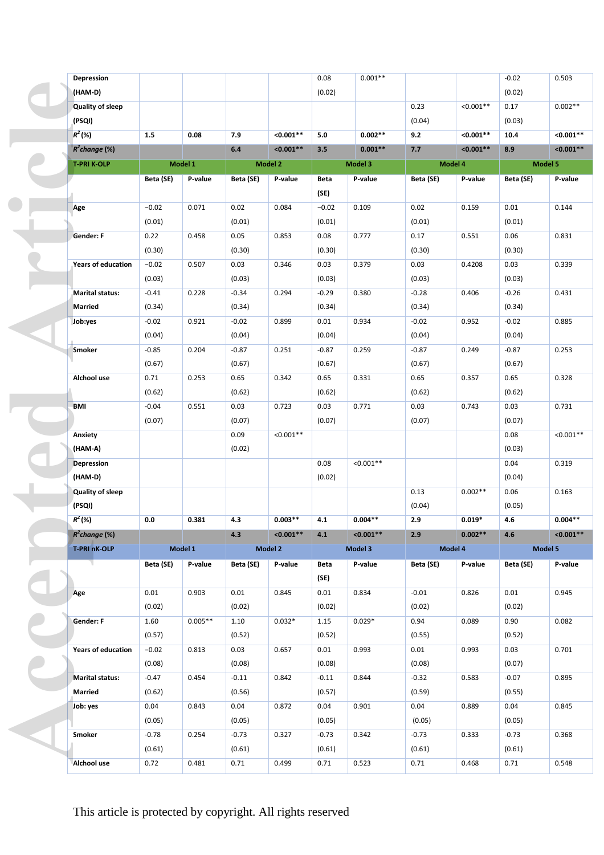| Depression                 |           |           |           |                | 0.08    | $0.001**$   |                   |             | $-0.02$           | 0.503       |
|----------------------------|-----------|-----------|-----------|----------------|---------|-------------|-------------------|-------------|-------------------|-------------|
| (HAM-D)                    |           |           |           |                | (0.02)  |             |                   |             | (0.02)            |             |
| <b>Quality of sleep</b>    |           |           |           |                |         |             | 0.23              | $< 0.001**$ | 0.17              | $0.002**$   |
| (PSQI)                     |           |           |           |                |         |             | (0.04)            |             | (0.03)            |             |
| $R^2$ (%)                  | 1.5       | 0.08      | 7.9       | $< 0.001**$    | 5.0     | $0.002**$   | 9.2               | $< 0.001**$ | 10.4              | $< 0.001**$ |
| $R^2$ change (%)           |           |           | 6.4       | $< 0.001**$    | 3.5     | $0.001**$   | 7.7               | $< 0.001**$ | 8.9               | $< 0.001**$ |
| <b>T-PRI K-OLP</b>         |           | Model 1   |           | <b>Model 2</b> |         | Model 3     | Model 4           |             | Model 5           |             |
|                            | Beta (SE) | P-value   | Beta (SE) | P-value        | Beta    | P-value     | Beta (SE)         | P-value     | Beta (SE)         | P-value     |
|                            |           |           |           |                | (SE)    |             |                   |             |                   |             |
|                            | $-0.02$   | 0.071     | 0.02      | 0.084          | $-0.02$ | 0.109       | 0.02              | 0.159       | 0.01              | 0.144       |
| Age                        | (0.01)    |           | (0.01)    |                | (0.01)  |             | (0.01)            |             | (0.01)            |             |
| <b>Gender: F</b>           | 0.22      | 0.458     | 0.05      | 0.853          | 0.08    | 0.777       | 0.17              | 0.551       | 0.06              | 0.831       |
|                            | (0.30)    |           | (0.30)    |                | (0.30)  |             | (0.30)            |             | (0.30)            |             |
| <b>Years of education</b>  | $-0.02$   | 0.507     | 0.03      | 0.346          | 0.03    | 0.379       | 0.03              | 0.4208      | 0.03              | 0.339       |
|                            | (0.03)    |           | (0.03)    |                | (0.03)  |             | (0.03)            |             | (0.03)            |             |
| <b>Marital status:</b>     | $-0.41$   |           | $-0.34$   | 0.294          | $-0.29$ |             | $-0.28$           | 0.406       | $-0.26$           | 0.431       |
| <b>Married</b>             | (0.34)    | 0.228     |           |                |         | 0.380       | (0.34)            |             | (0.34)            |             |
|                            |           |           | (0.34)    |                | (0.34)  |             |                   |             |                   |             |
| Job:yes                    | $-0.02$   | 0.921     | $-0.02$   | 0.899          | 0.01    | 0.934       | $-0.02$           | 0.952       | $-0.02$           | 0.885       |
|                            | (0.04)    | 0.204     | (0.04)    | 0.251          | (0.04)  | 0.259       | (0.04)<br>$-0.87$ |             | (0.04)<br>$-0.87$ | 0.253       |
| Smoker                     | $-0.85$   |           | $-0.87$   |                | $-0.87$ |             |                   | 0.249       |                   |             |
|                            | (0.67)    |           | (0.67)    |                | (0.67)  |             | (0.67)            |             | (0.67)            |             |
| Alchool use                | 0.71      | 0.253     | 0.65      | 0.342          | 0.65    | 0.331       | 0.65              | 0.357       | 0.65              | 0.328       |
|                            | (0.62)    |           | (0.62)    |                | (0.62)  |             | (0.62)            |             | (0.62)            |             |
| <b>BMI</b>                 | $-0.04$   | 0.551     | 0.03      | 0.723          | 0.03    | 0.771       | 0.03              | 0.743       | 0.03              | 0.731       |
|                            | (0.07)    |           | (0.07)    |                | (0.07)  |             | (0.07)            |             | (0.07)            |             |
| Anxiety                    |           |           | 0.09      | $< 0.001**$    |         |             |                   |             | 0.08              | $< 0.001**$ |
| (HAM-A)                    |           |           | (0.02)    |                |         |             |                   |             | (0.03)            |             |
| <b>Depression</b>          |           |           |           |                | 0.08    | $< 0.001**$ |                   |             | 0.04              | 0.319       |
| (HAM-D)                    |           |           |           |                | (0.02)  |             | 0.13              |             | (0.04)            |             |
| Quality of sleep<br>(PSQI) |           |           |           |                |         |             |                   | $0.002**$   | 0.06              | 0.163       |
| $R^2(%)$                   |           |           |           | $0.003**$      |         | $0.004**$   | (0.04)            | $0.019*$    | (0.05)            | $0.004**$   |
| $R^2$ change (%)           | 0.0       | 0.381     | 4.3       | $< 0.001**$    | 4.1     | $< 0.001**$ | 2.9               | $0.002**$   | 4.6               |             |
|                            |           |           | 4.3       | Model 2        | 4.1     |             | 2.9               |             | 4.6               | $< 0.001**$ |
| <b>T-PRI nK-OLP</b>        |           | Model 1   |           |                |         | Model 3     | Model 4           |             | Model 5           |             |
|                            | Beta (SE) | P-value   | Beta (SE) | P-value        | Beta    | P-value     | Beta (SE)         | P-value     | Beta (SE)         | P-value     |
|                            |           |           |           |                | (SE)    |             |                   |             |                   |             |
| Age                        | 0.01      | 0.903     | 0.01      | 0.845          | 0.01    | 0.834       | $-0.01$           | 0.826       | 0.01              | 0.945       |
|                            | (0.02)    |           | (0.02)    |                | (0.02)  |             | (0.02)            |             | (0.02)            |             |
| Gender: F                  | 1.60      | $0.005**$ | 1.10      | $0.032*$       | 1.15    | $0.029*$    | 0.94              | 0.089       | 0.90              | 0.082       |
|                            | (0.57)    |           | (0.52)    |                | (0.52)  |             | (0.55)            |             | (0.52)            |             |
| <b>Years of education</b>  | $-0.02$   | 0.813     | 0.03      | 0.657          | 0.01    | 0.993       | 0.01              | 0.993       | 0.03              | 0.701       |
|                            | (0.08)    |           | (0.08)    |                | (0.08)  |             | (0.08)            |             | (0.07)            |             |
| <b>Marital status:</b>     | $-0.47$   | 0.454     | $-0.11$   | 0.842          | $-0.11$ | 0.844       | $-0.32$           | 0.583       | $-0.07$           | 0.895       |
| Married                    | (0.62)    |           | (0.56)    |                | (0.57)  |             | (0.59)            |             | (0.55)            |             |
| Job: yes                   | 0.04      | 0.843     | 0.04      | 0.872          | 0.04    | 0.901       | 0.04              | 0.889       | 0.04              | 0.845       |
|                            | (0.05)    |           | (0.05)    |                | (0.05)  |             | (0.05)            |             | (0.05)            |             |
| Smoker                     | $-0.78$   | 0.254     | $-0.73$   | 0.327          | $-0.73$ | 0.342       | $-0.73$           | 0.333       | $-0.73$           | 0.368       |
|                            | (0.61)    |           | (0.61)    |                | (0.61)  |             | (0.61)            |             | (0.61)            |             |
| Alchool use                | 0.72      | 0.481     | 0.71      | 0.499          | 0.71    | 0.523       | 0.71              | 0.468       | 0.71              | 0.548       |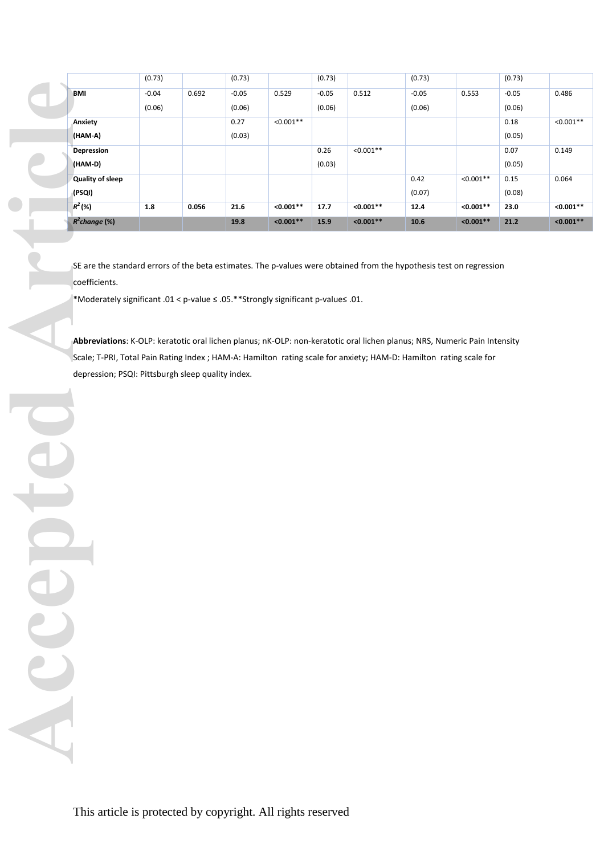|                   | (0.73)  |       | (0.73)  |             | (0.73)  |             | (0.73)  |             | (0.73)  |             |
|-------------------|---------|-------|---------|-------------|---------|-------------|---------|-------------|---------|-------------|
| BMI               | $-0.04$ | 0.692 | $-0.05$ | 0.529       | $-0.05$ | 0.512       | $-0.05$ | 0.553       | $-0.05$ | 0.486       |
|                   | (0.06)  |       | (0.06)  |             | (0.06)  |             | (0.06)  |             | (0.06)  |             |
| Anxiety           |         |       | 0.27    | $< 0.001**$ |         |             |         |             | 0.18    | $< 0.001**$ |
| (HAM-A)           |         |       | (0.03)  |             |         |             |         |             | (0.05)  |             |
| <b>Depression</b> |         |       |         |             | 0.26    | $< 0.001**$ |         |             | 0.07    | 0.149       |
| (HAM-D)           |         |       |         |             | (0.03)  |             |         |             | (0.05)  |             |
| Quality of sleep  |         |       |         |             |         |             | 0.42    | $< 0.001**$ | 0.15    | 0.064       |
| (PSQI)            |         |       |         |             |         |             | (0.07)  |             | (0.08)  |             |
| $R^2(%)$          | 1.8     | 0.056 | 21.6    | $< 0.001**$ | 17.7    | $< 0.001**$ | 12.4    | $< 0.001**$ | 23.0    | $< 0.001**$ |
| $R^2$ change (%)  |         |       | 19.8    | $< 0.001**$ | 15.9    | $< 0.001**$ | 10.6    | $< 0.001**$ | 21.2    | $< 0.001**$ |

SE are the standard errors of the beta estimates. The p-values were obtained from the hypothesis test on regression coefficients.

\*Moderately significant .01 < p-value ≤ .05.\*\*Strongly significant p-value≤ .01.

**Abbreviations**: K-OLP: keratotic oral lichen planus; nK-OLP: non-keratotic oral lichen planus; NRS, Numeric Pain Intensity Scale; T-PRI, Total Pain Rating Index ; HAM-A: Hamilton rating scale for anxiety; HAM-D: Hamilton rating scale for depression; PSQI: Pittsburgh sleep quality index.